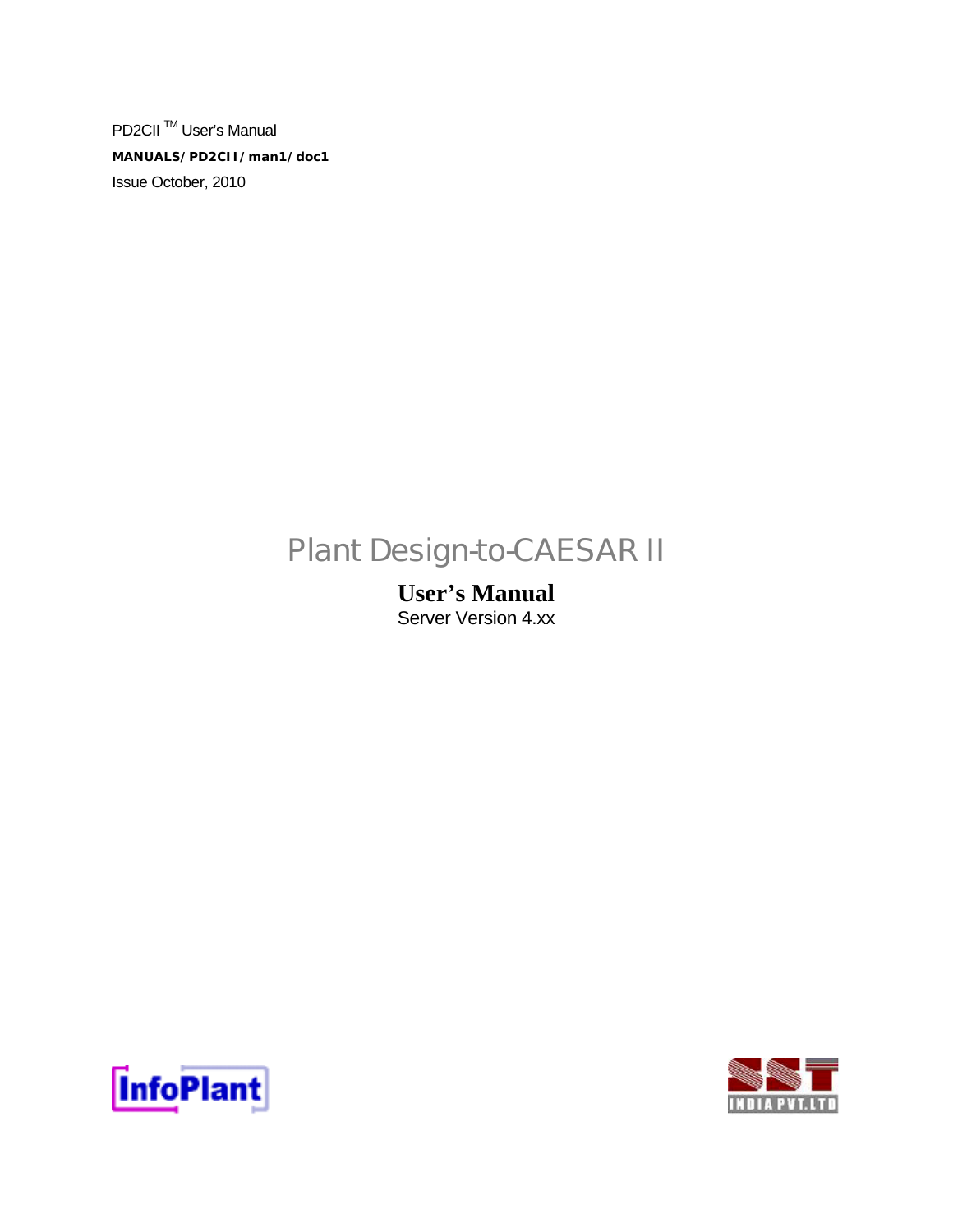PD2CII<sup>™</sup> User's Manual **MANUALS/PD2CII/man1/doc1**  Issue October, 2010

# Plant Design-to-CAESAR II

## **User's Manual**  Server Version 4.xx



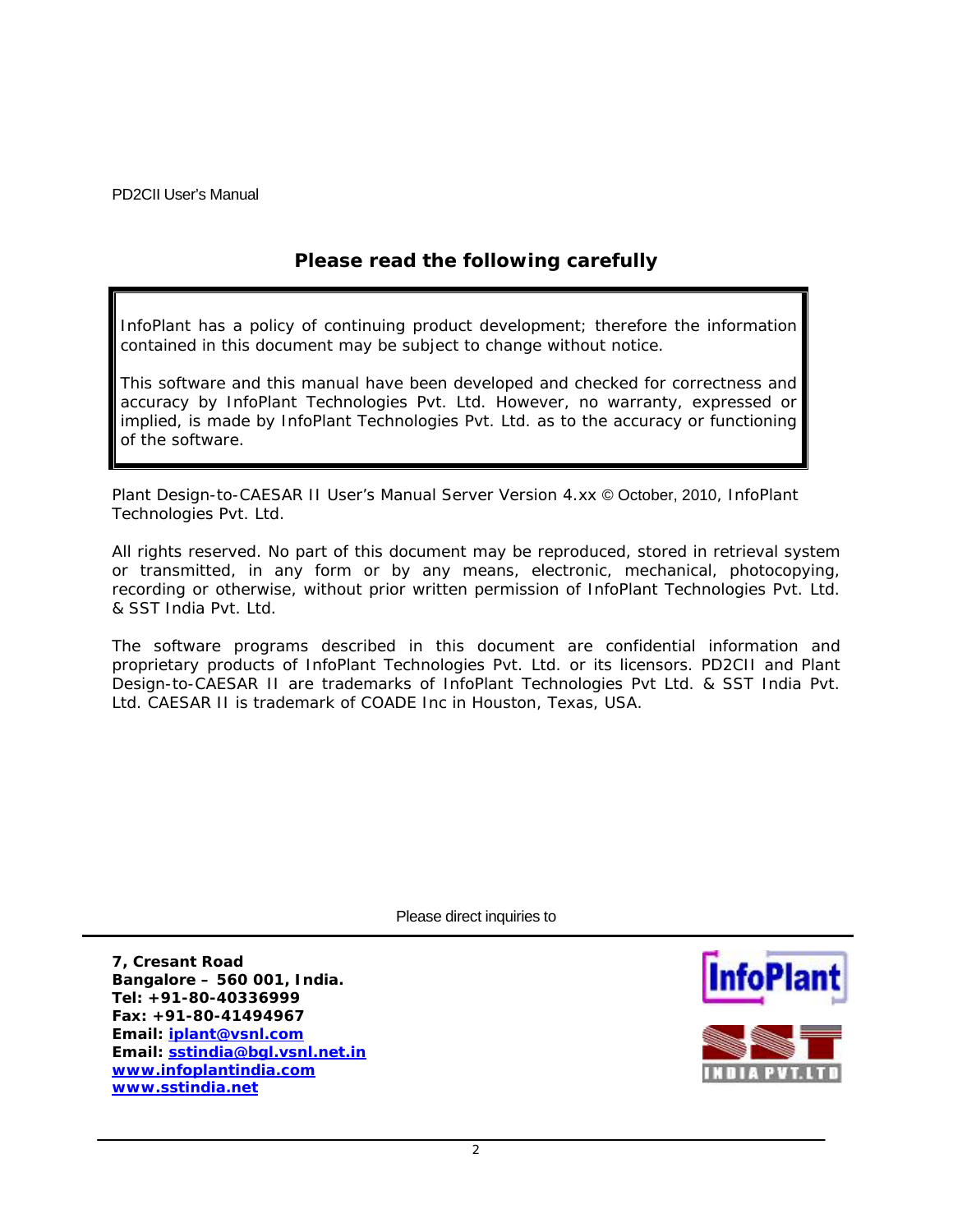## **Please read the following carefully**

InfoPlant has a policy of continuing product development; therefore the information contained in this document may be subject to change without notice.

This software and this manual have been developed and checked for correctness and accuracy by InfoPlant Technologies Pvt. Ltd. However, no warranty, expressed or implied, is made by InfoPlant Technologies Pvt. Ltd. as to the accuracy or functioning of the software.

Plant Design-to-CAESAR II User's Manual Server Version 4.xx © October, 2010, InfoPlant Technologies Pvt. Ltd.

All rights reserved. No part of this document may be reproduced, stored in retrieval system or transmitted, in any form or by any means, electronic, mechanical, photocopying, recording or otherwise, without prior written permission of InfoPlant Technologies Pvt. Ltd. & SST India Pvt. Ltd.

The software programs described in this document are confidential information and proprietary products of InfoPlant Technologies Pvt. Ltd. or its licensors. PD2CII and Plant Design-to-CAESAR II are trademarks of InfoPlant Technologies Pvt Ltd. & SST India Pvt. Ltd. CAESAR II is trademark of COADE Inc in Houston, Texas, USA.

Please direct inquiries to

**7, Cresant Road Bangalore – 560 001, India. Tel: +91-80-40336999 Fax: +91-80-41494967 Email: [iplant@vsnl.com](mailto:iplant@vsnl.com) Email: [sstindia@bgl.vsnl.net.in](mailto:sstindia@bgl.vsnl.net.in) [www.infoplantindia.com](http://www.infoplantindia.com/) [www.sstindia.net](http://www.sstindia.net/)**



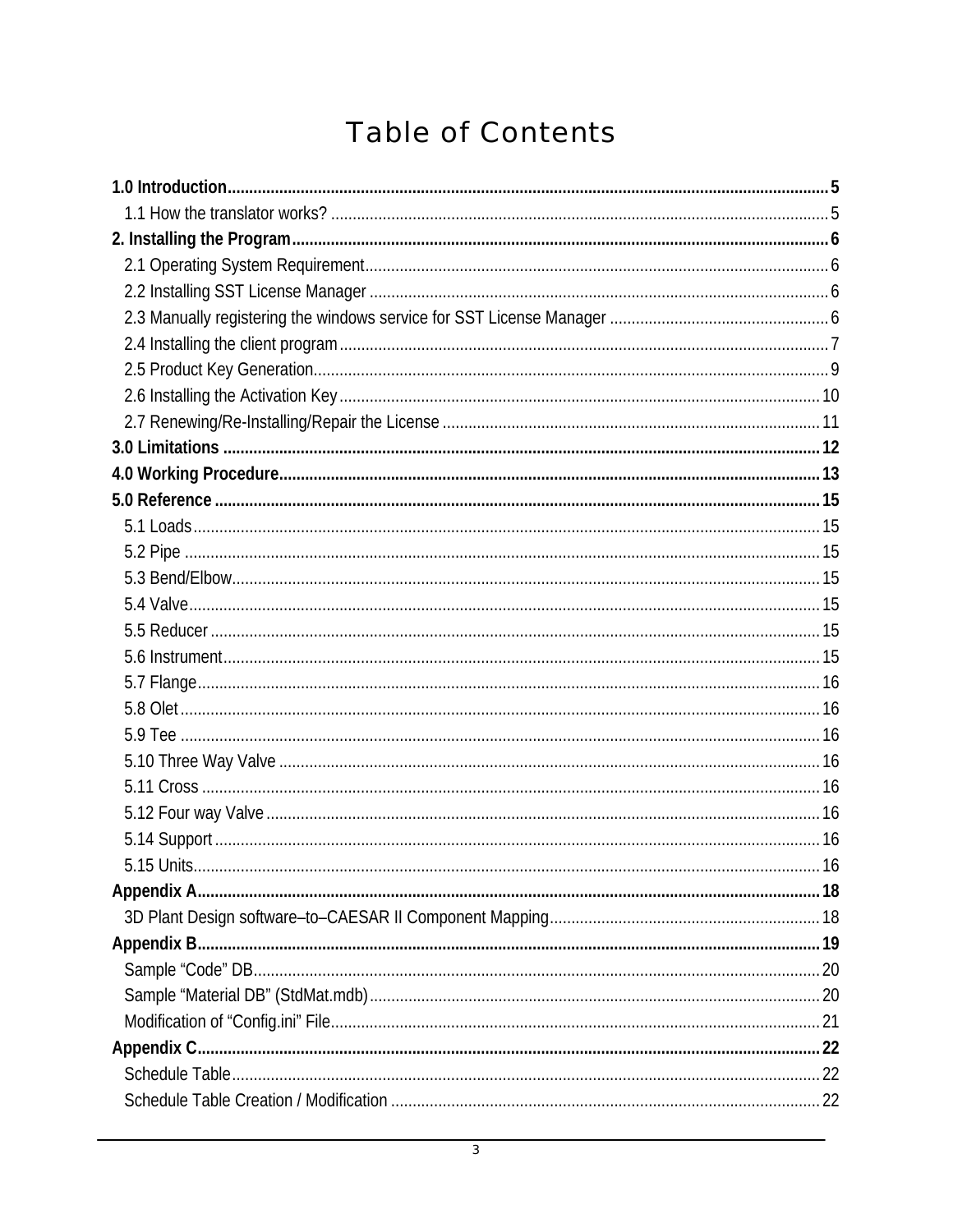# **Table of Contents**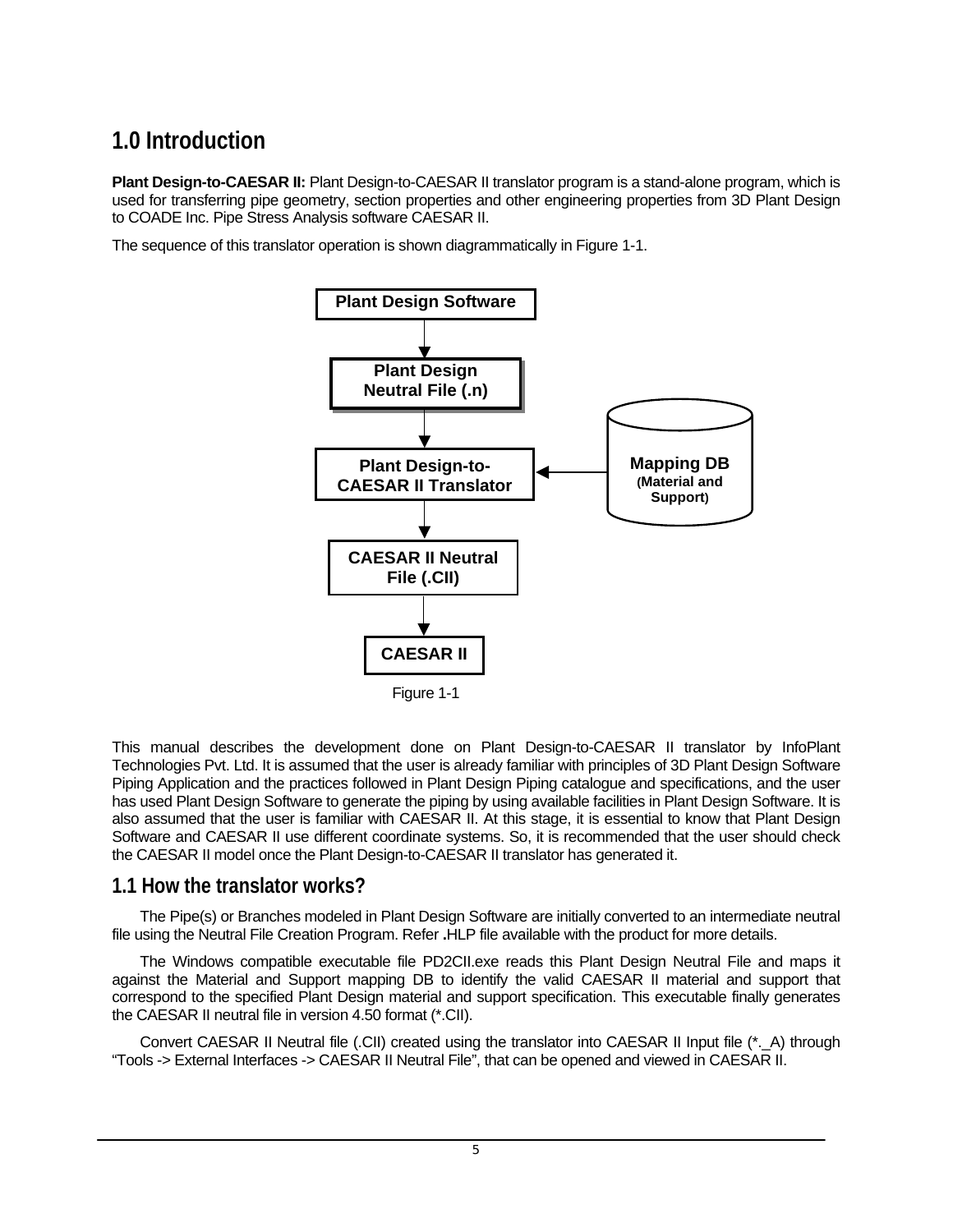# <span id="page-4-0"></span>**1.0 Introduction**

**Plant Design-to-CAESAR II:** Plant Design-to-CAESAR II translator program is a stand-alone program, which is used for transferring pipe geometry, section properties and other engineering properties from 3D Plant Design to COADE Inc. Pipe Stress Analysis software CAESAR II.

The sequence of this translator operation is shown diagrammatically in Figure 1-1.



This manual describes the development done on Plant Design-to-CAESAR II translator by InfoPlant Technologies Pvt. Ltd. It is assumed that the user is already familiar with principles of 3D Plant Design Software Piping Application and the practices followed in Plant Design Piping catalogue and specifications, and the user has used Plant Design Software to generate the piping by using available facilities in Plant Design Software. It is also assumed that the user is familiar with CAESAR II. At this stage, it is essential to know that Plant Design Software and CAESAR II use different coordinate systems. So, it is recommended that the user should check the CAESAR II model once the Plant Design-to-CAESAR II translator has generated it.

## **1.1 How the translator works?**

The Pipe(s) or Branches modeled in Plant Design Software are initially converted to an intermediate neutral file using the Neutral File Creation Program. Refer **.**HLP file available with the product for more details.

The Windows compatible executable file PD2CII.exe reads this Plant Design Neutral File and maps it against the Material and Support mapping DB to identify the valid CAESAR II material and support that correspond to the specified Plant Design material and support specification. This executable finally generates the CAESAR II neutral file in version 4.50 format (\*.CII).

Convert CAESAR II Neutral file (.CII) created using the translator into CAESAR II Input file (\*. A) through "Tools -> External Interfaces -> CAESAR II Neutral File", that can be opened and viewed in CAESAR II.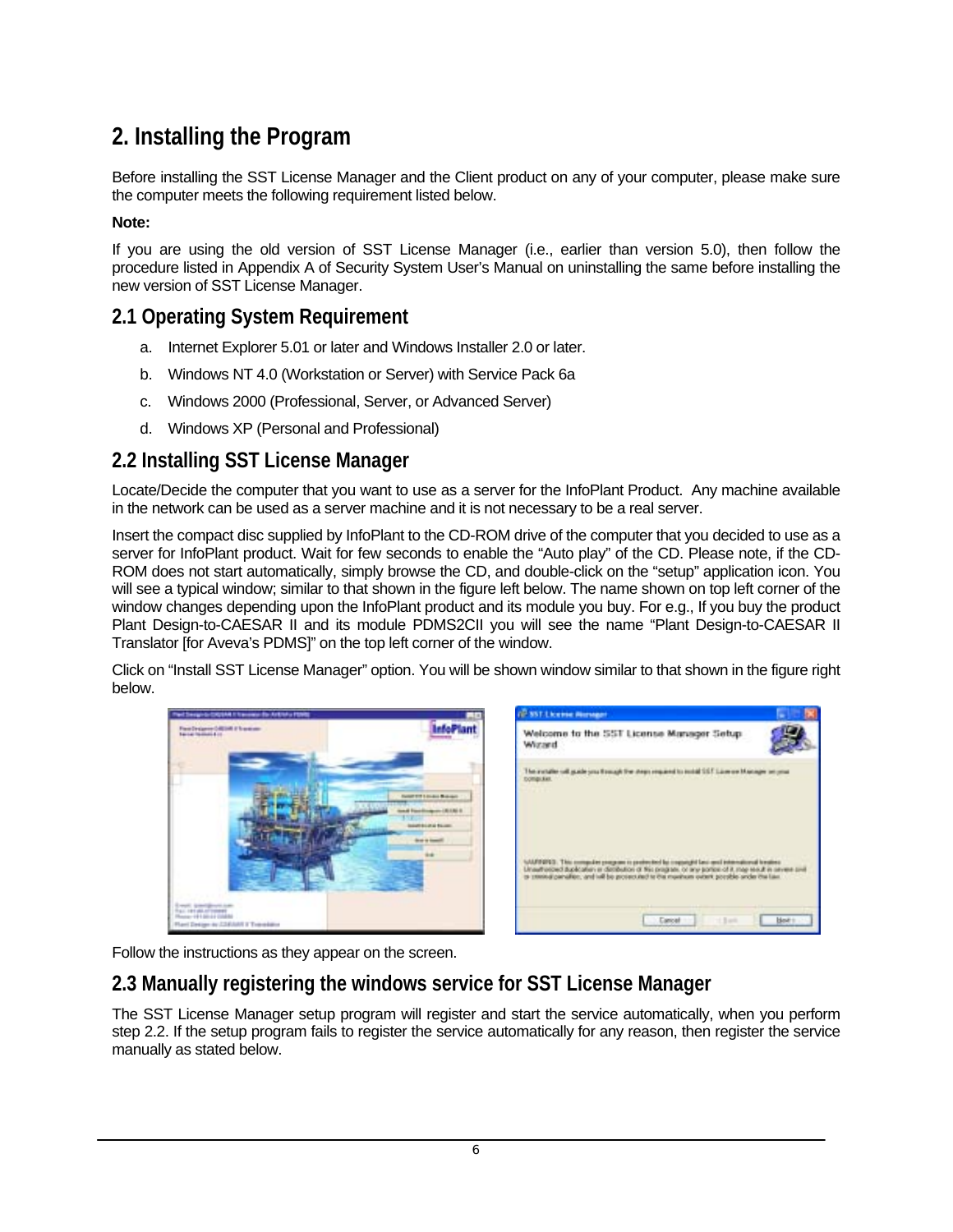# <span id="page-5-0"></span>**2. Installing the Program**

Before installing the SST License Manager and the Client product on any of your computer, please make sure the computer meets the following requirement listed below.

#### **Note:**

If you are using the old version of SST License Manager (i.e., earlier than version 5.0), then follow the procedure listed in Appendix A of Security System User's Manual on uninstalling the same before installing the new version of SST License Manager.

## **2.1 Operating System Requirement**

- a. Internet Explorer 5.01 or later and Windows Installer 2.0 or later.
- b. Windows NT 4.0 (Workstation or Server) with Service Pack 6a
- c. Windows 2000 (Professional, Server, or Advanced Server)
- d. Windows XP (Personal and Professional)

## **2.2 Installing SST License Manager**

Locate/Decide the computer that you want to use as a server for the InfoPlant Product. Any machine available in the network can be used as a server machine and it is not necessary to be a real server.

Insert the compact disc supplied by InfoPlant to the CD-ROM drive of the computer that you decided to use as a server for InfoPlant product. Wait for few seconds to enable the "Auto play" of the CD. Please note, if the CD-ROM does not start automatically, simply browse the CD, and double-click on the "setup" application icon. You will see a typical window; similar to that shown in the figure left below. The name shown on top left corner of the window changes depending upon the InfoPlant product and its module you buy. For e.g., If you buy the product Plant Design-to-CAESAR II and its module PDMS2CII you will see the name "Plant Design-to-CAESAR II Translator [for Aveva's PDMS]" on the top left corner of the window.

Click on "Install SST License Manager" option. You will be shown window similar to that shown in the figure right below.





Follow the instructions as they appear on the screen.

# **2.3 Manually registering the windows service for SST License Manager**

The SST License Manager setup program will register and start the service automatically, when you perform step 2.2. If the setup program fails to register the service automatically for any reason, then register the service manually as stated below.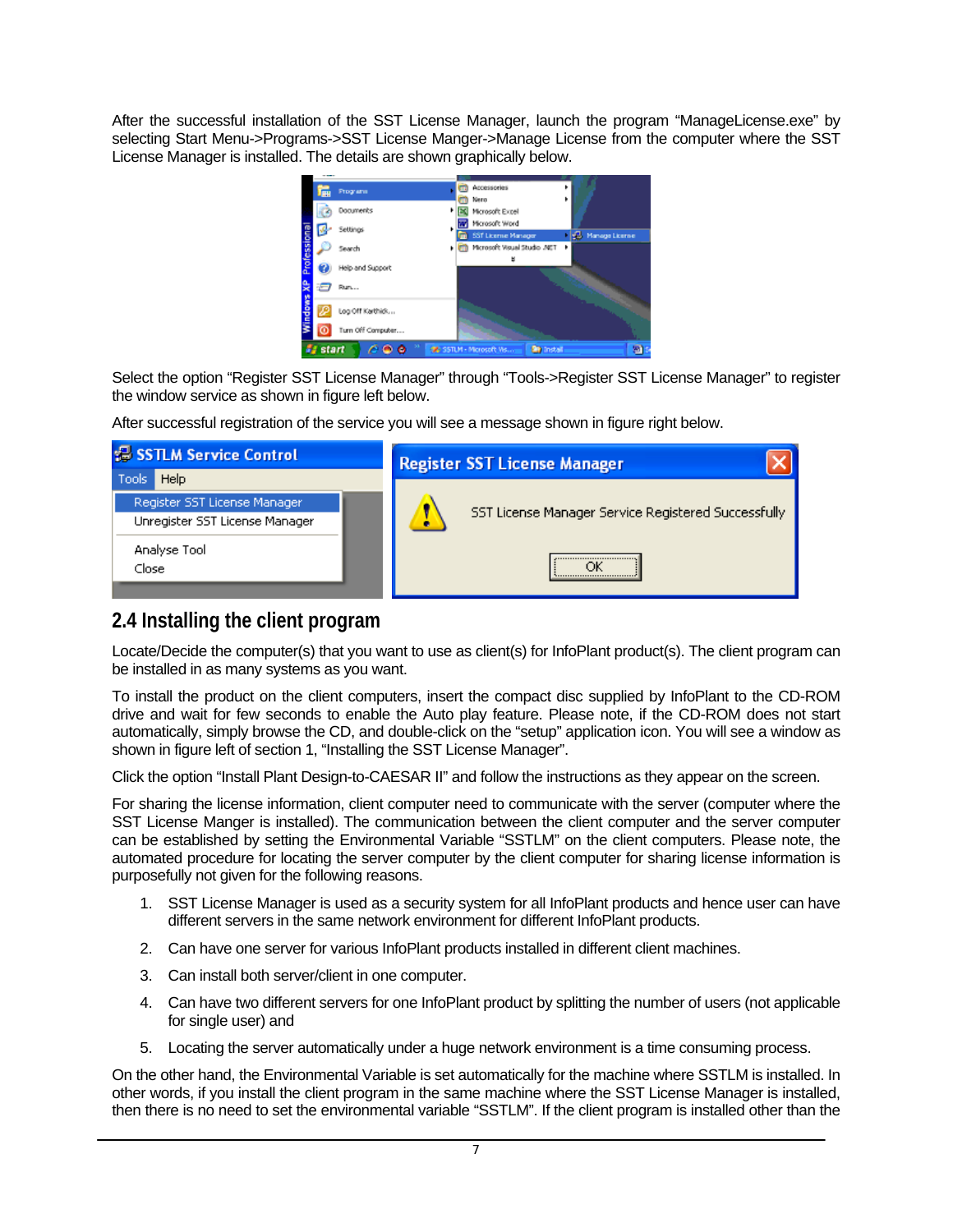<span id="page-6-0"></span>After the successful installation of the SST License Manager, launch the program "ManageLicense.exe" by selecting Start Menu->Programs->SST License Manger->Manage License from the computer where the SST License Manager is installed. The details are shown graphically below.



Select the option "Register SST License Manager" through "Tools->Register SST License Manager" to register the window service as shown in figure left below.

After successful registration of the service you will see a message shown in figure right below.

| <b>E SSTLM Service Control</b>                                 | <b>Register SST License Manager</b>                 |  |  |
|----------------------------------------------------------------|-----------------------------------------------------|--|--|
| Help<br>Tools                                                  |                                                     |  |  |
| Register SST License Manager<br>Unregister SST License Manager | SST License Manager Service Registered Successfully |  |  |
| Analyse Tool                                                   |                                                     |  |  |
| Close                                                          |                                                     |  |  |
|                                                                |                                                     |  |  |

# **2.4 Installing the client program**

Locate/Decide the computer(s) that you want to use as client(s) for InfoPlant product(s). The client program can be installed in as many systems as you want.

To install the product on the client computers, insert the compact disc supplied by InfoPlant to the CD-ROM drive and wait for few seconds to enable the Auto play feature. Please note, if the CD-ROM does not start automatically, simply browse the CD, and double-click on the "setup" application icon. You will see a window as shown in figure left of section 1, "Installing the SST License Manager".

Click the option "Install Plant Design-to-CAESAR II" and follow the instructions as they appear on the screen.

For sharing the license information, client computer need to communicate with the server (computer where the SST License Manger is installed). The communication between the client computer and the server computer can be established by setting the Environmental Variable "SSTLM" on the client computers. Please note, the automated procedure for locating the server computer by the client computer for sharing license information is purposefully not given for the following reasons.

- 1. SST License Manager is used as a security system for all InfoPlant products and hence user can have different servers in the same network environment for different InfoPlant products.
- 2. Can have one server for various InfoPlant products installed in different client machines.
- 3. Can install both server/client in one computer.
- 4. Can have two different servers for one InfoPlant product by splitting the number of users (not applicable for single user) and
- 5. Locating the server automatically under a huge network environment is a time consuming process.

On the other hand, the Environmental Variable is set automatically for the machine where SSTLM is installed. In other words, if you install the client program in the same machine where the SST License Manager is installed, then there is no need to set the environmental variable "SSTLM". If the client program is installed other than the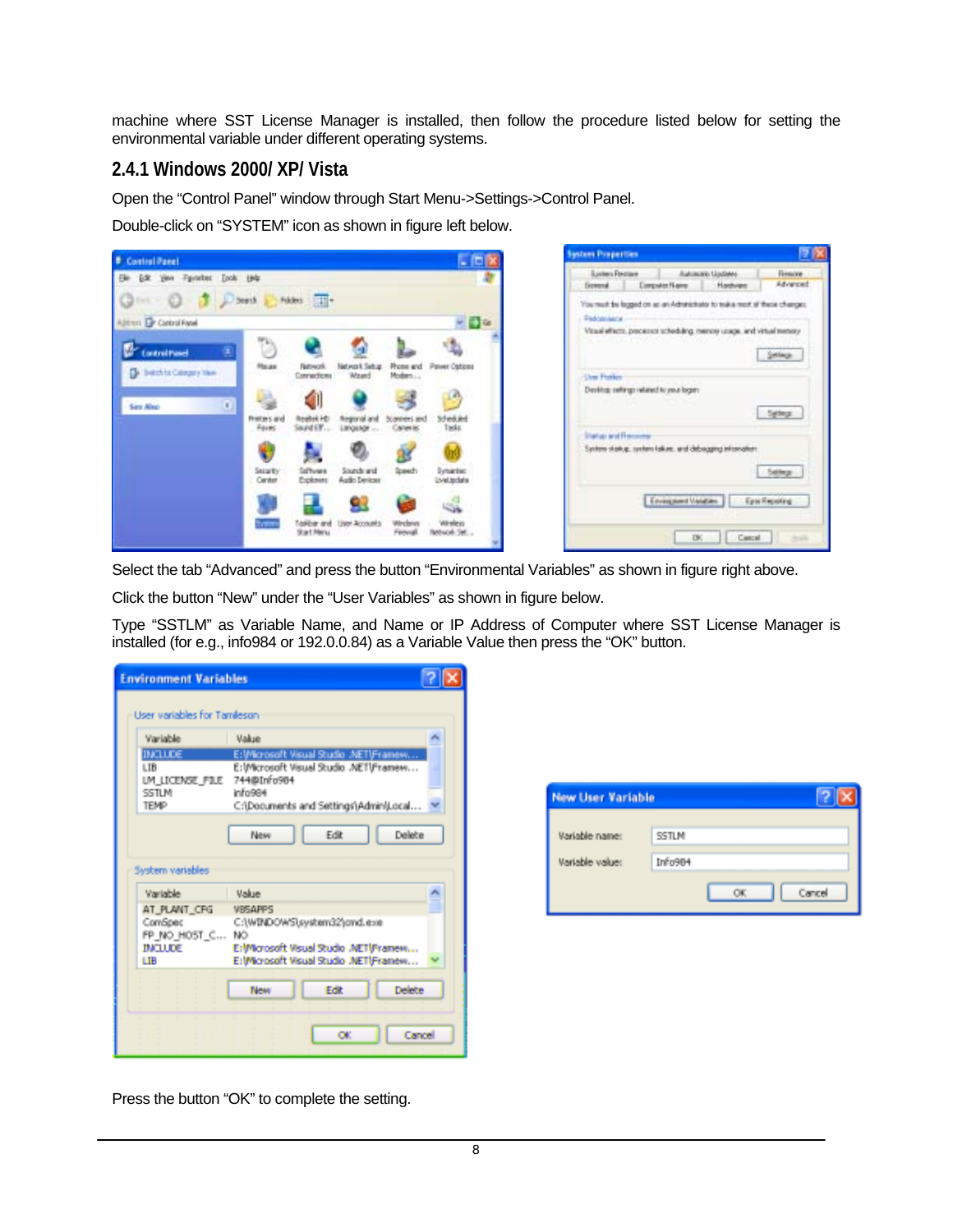machine where SST License Manager is installed, then follow the procedure listed below for setting the environmental variable under different operating systems.

### **2.4.1 Windows 2000/ XP/ Vista**

Open the "Control Panel" window through Start Menu->Settings->Control Panel.

Double-click on "SYSTEM" icon as shown in figure left below.



| <b>Spiders Fordige</b>                 | Automatic Liszbare                                                                                  | Results   |
|----------------------------------------|-----------------------------------------------------------------------------------------------------|-----------|
| <b>Detend DeepsterRane</b>             | Hashvare                                                                                            | Advanced. |
|                                        | You must be logged on an an Adronizitator to teak a next of these changes.                          |           |
| Paddenbeck                             |                                                                                                     |           |
|                                        | Visual effects, precessor scheduling, menoty usage, and virtual tempty                              |           |
|                                        | : " ( ) ) ) ) ( ) ) ( ) ( ) ) ( ) ( ) ) ( ) ( ) ( ) ( ) ( ) ( ) ( ) ( ) ( ) ( ) ( ) ( ) ( ) ( ) ( ) |           |
|                                        |                                                                                                     | Selege    |
|                                        |                                                                                                     |           |
| <b>User Portion</b>                    |                                                                                                     |           |
| Denking sellings related to your logen |                                                                                                     |           |
| <b>Tax</b>                             |                                                                                                     |           |
|                                        |                                                                                                     | Syllege   |
|                                        |                                                                                                     |           |
| <b>Status and Recovers</b>             |                                                                                                     |           |
|                                        | System starkup, system falkers, and debugging internations                                          |           |
|                                        |                                                                                                     | Select    |
|                                        |                                                                                                     |           |
|                                        |                                                                                                     |           |
|                                        |                                                                                                     |           |
|                                        | Environment Vanishers   Epis Reporting                                                              |           |
|                                        |                                                                                                     |           |
|                                        | Cancel .<br>DK.                                                                                     |           |

Select the tab "Advanced" and press the button "Environmental Variables" as shown in figure right above.

Click the button "New" under the "User Variables" as shown in figure below.

Type "SSTLM" as Variable Name, and Name or IP Address of Computer where SST License Manager is installed (for e.g., info984 or 192.0.0.84) as a Variable Value then press the "OK" button.

| <b>Environment Variables</b> |                                                      |        |
|------------------------------|------------------------------------------------------|--------|
| User variables for Tamleson  |                                                      |        |
| Variable                     | <b>Makie</b>                                         |        |
| <b>INCLUDE</b>               | E: Wicrosoft Visual Studio .NETIFramew               |        |
| LTB<br>LM LICENSE FILE       | E:Wicrosoft Visual Studio .NETIFramew<br>744@Info904 |        |
| SSTLM                        | info984                                              |        |
| <b>TEMP</b>                  | C:\Documents and Settings\Admin\Local                |        |
|                              | Edit<br>Delete<br>New                                |        |
| System variables<br>Variable | <b>Madrid</b>                                        | A      |
| AT_PLANT_CFG                 | <b>VBSAPPS</b>                                       |        |
| ComSpec<br>FP NO HOST C NO   | C:(WINDOWS).system32\ond.exe                         |        |
| <b>IMALLER</b>               | ErMorosoft Visual Studio .NETUFramew                 |        |
| LIB                          | E:Wicrosoft Visual Studio .NETIFramew                |        |
|                              | Edit<br>Delete<br>New                                |        |
|                              | OK.                                                  | Cancel |

| Variable name:  | <b>SSTLM</b> |
|-----------------|--------------|
|                 |              |
| Variable value: | Info904      |

Press the button "OK" to complete the setting.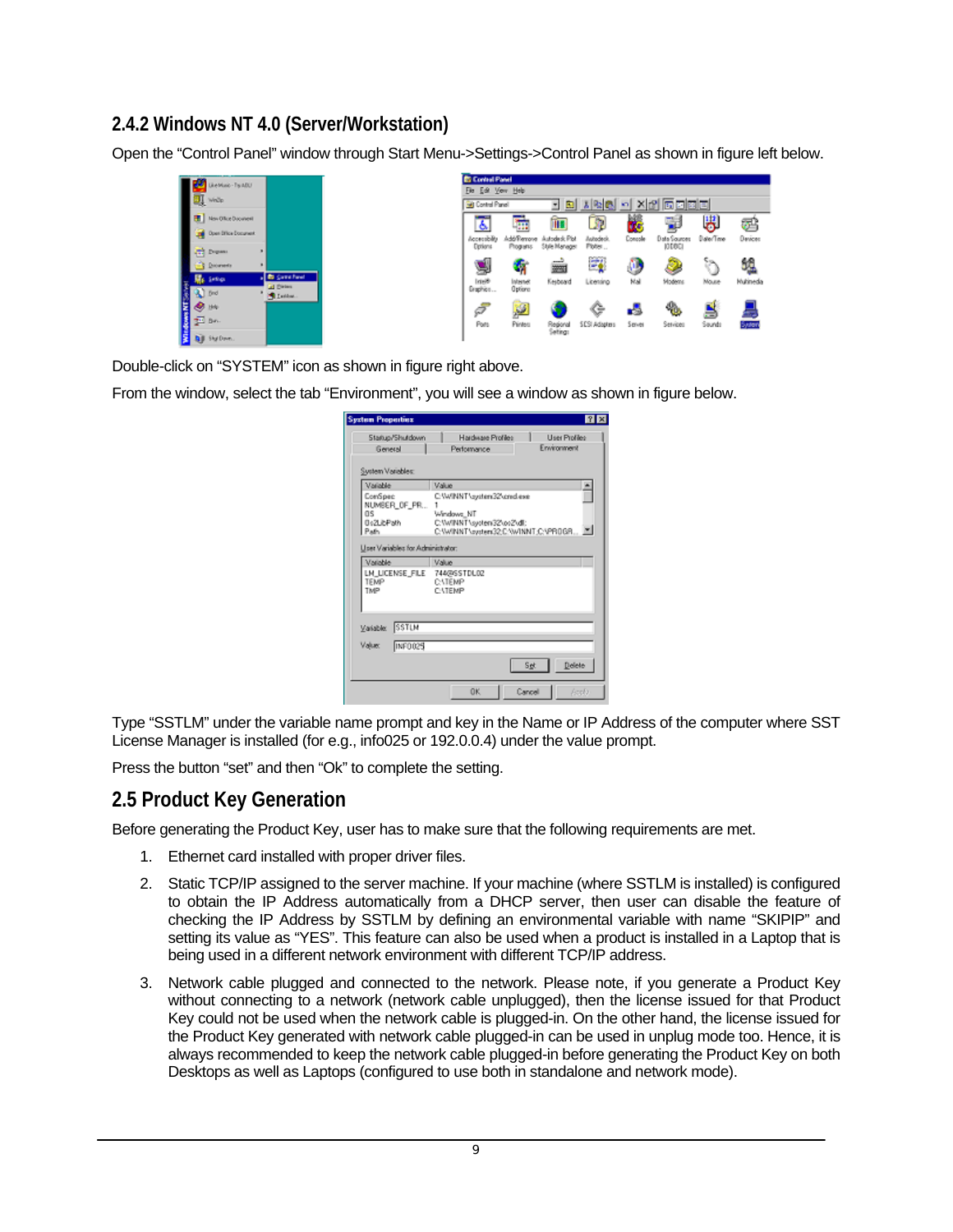## <span id="page-8-0"></span>**2.4.2 Windows NT 4.0 (Server/Workstation)**

Open the "Control Panel" window through Start Menu->Settings->Control Panel as shown in figure left below.

|   | LiteMaic-TsutDU       |                     |
|---|-----------------------|---------------------|
|   |                       |                     |
| ų | While                 |                     |
|   | <b>HovOlkeDocwert</b> |                     |
|   |                       |                     |
|   | Den Stice Congress    |                     |
|   |                       |                     |
|   | <b>CO</b> Drawn       | н                   |
|   | <b>Sill Dromerly</b>  |                     |
|   | <b>Residence</b>      | <b>Bi</b> Came Fand |
|   |                       | <b>Id Diries</b>    |
|   |                       | <b>St.</b> Letter   |
|   |                       |                     |
|   |                       |                     |
|   |                       |                     |
|   | <b>Bill Shallows</b>  |                     |

Double-click on "SYSTEM" icon as shown in figure right above.

From the window, select the tab "Environment", you will see a window as shown in figure below.

| <b>System Properties</b>                                                                                                                                                                           | 7x                                                               |  |  |
|----------------------------------------------------------------------------------------------------------------------------------------------------------------------------------------------------|------------------------------------------------------------------|--|--|
| Status/Shuldown<br>General                                                                                                                                                                         | Hardware Profiles<br>User Profiles<br>Environment<br>Performance |  |  |
| System Variables:                                                                                                                                                                                  |                                                                  |  |  |
| Valiable<br>Value<br>ComSpec<br>C: W/INNT \system32\cmd.exe<br>NUMBER OF PR<br><b>OS</b><br>Windows NT<br>0s2LibPath<br>C: W/INNT \system32\os2\dll;<br>Path.<br>C:W/NNT\system32;C:W/NNT;C:VPROGR |                                                                  |  |  |
| Liser Variables for Administrator:<br>Valable<br>LN_LICENSE_FILE 744/9/SSTDL02<br>TEMP<br>TMP                                                                                                      | Value<br>CATEMP<br><b>CATEMP</b>                                 |  |  |
| SSTLM<br>Variable:<br>Value:<br><b>INFO025</b>                                                                                                                                                     | Delete<br>Set.                                                   |  |  |
|                                                                                                                                                                                                    | 0K<br>Cancel<br>Estb.                                            |  |  |

Type "SSTLM" under the variable name prompt and key in the Name or IP Address of the computer where SST License Manager is installed (for e.g., info025 or 192.0.0.4) under the value prompt.

Press the button "set" and then "Ok" to complete the setting.

## **2.5 Product Key Generation**

Before generating the Product Key, user has to make sure that the following requirements are met.

- 1. Ethernet card installed with proper driver files.
- 2. Static TCP/IP assigned to the server machine. If your machine (where SSTLM is installed) is configured to obtain the IP Address automatically from a DHCP server, then user can disable the feature of checking the IP Address by SSTLM by defining an environmental variable with name "SKIPIP" and setting its value as "YES". This feature can also be used when a product is installed in a Laptop that is being used in a different network environment with different TCP/IP address.
- 3. Network cable plugged and connected to the network. Please note, if you generate a Product Key without connecting to a network (network cable unplugged), then the license issued for that Product Key could not be used when the network cable is plugged-in. On the other hand, the license issued for the Product Key generated with network cable plugged-in can be used in unplug mode too. Hence, it is always recommended to keep the network cable plugged-in before generating the Product Key on both Desktops as well as Laptops (configured to use both in standalone and network mode).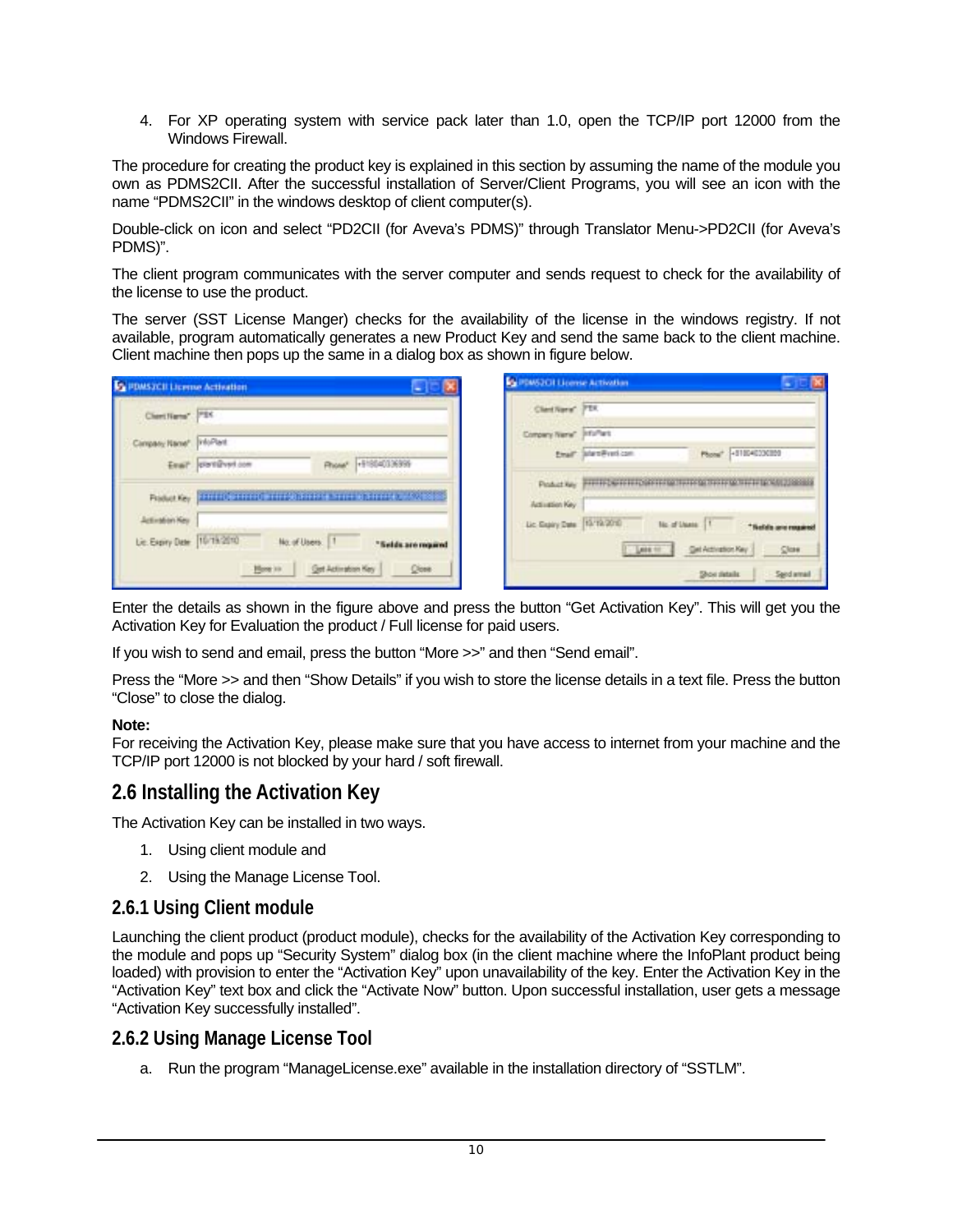<span id="page-9-0"></span>4. For XP operating system with service pack later than 1.0, open the TCP/IP port 12000 from the Windows Firewall.

The procedure for creating the product key is explained in this section by assuming the name of the module you own as PDMS2CII. After the successful installation of Server/Client Programs, you will see an icon with the name "PDMS2CII" in the windows desktop of client computer(s).

Double-click on icon and select "PD2CII (for Aveva's PDMS)" through Translator Menu->PD2CII (for Aveva's PDMS)".

The client program communicates with the server computer and sends request to check for the availability of the license to use the product.

The server (SST License Manger) checks for the availability of the license in the windows registry. If not available, program automatically generates a new Product Key and send the same back to the client machine. Client machine then pops up the same in a dialog box as shown in figure below.

| <b>C</b> PDMS2CII License Activation            |                                                                                                                                                   | <b>CallBMS2CH License Activation</b>             |                        |                                                                                    |  |
|-------------------------------------------------|---------------------------------------------------------------------------------------------------------------------------------------------------|--------------------------------------------------|------------------------|------------------------------------------------------------------------------------|--|
| Cheriffers" PSC                                 |                                                                                                                                                   | Client/Varia <sup>*</sup> PTX                    |                        |                                                                                    |  |
| Campany Name <sup>x</sup> info <sup>rment</sup> |                                                                                                                                                   | Company Nerw <sup>+</sup> Info <sup>rt</sup> ant | Email: Scientification | Phone" +510040330359                                                               |  |
|                                                 | Rhow <sup>+</sup> +F/80403/699<br>Eval <sup>2</sup> control con<br>Product Key   HIVESTEED OF THE CONSTRUCT IN THE UNITED RATES OF THE CONSTRUCT. |                                                  |                        | Peaket Apy PHITFOSTETER/SETERGY TUTER SYSTEMS WITH PEAKER                          |  |
| Activation Key<br>Lie Every Date 10/19/2010     | No. of Users:   1<br>"Selds are moved                                                                                                             | Activation Key<br>Lic Exply Date 15/12/2010      | <b>Lease for</b>       | <b>Tic of Users: 11</b><br>Nedala sera rangsirea<br>Get Activation Key<br>$Q$ lose |  |
|                                                 | <b>Get Activation Key</b><br>Here in<br>$Q$ ose                                                                                                   |                                                  |                        | Show sletails:<br>Saind armail                                                     |  |

Enter the details as shown in the figure above and press the button "Get Activation Key". This will get you the Activation Key for Evaluation the product / Full license for paid users.

If you wish to send and email, press the button "More >>" and then "Send email".

Press the "More >> and then "Show Details" if you wish to store the license details in a text file. Press the button "Close" to close the dialog.

#### **Note:**

For receiving the Activation Key, please make sure that you have access to internet from your machine and the TCP/IP port 12000 is not blocked by your hard / soft firewall.

## **2.6 Installing the Activation Key**

The Activation Key can be installed in two ways.

- 1. Using client module and
- 2. Using the Manage License Tool.

### **2.6.1 Using Client module**

Launching the client product (product module), checks for the availability of the Activation Key corresponding to the module and pops up "Security System" dialog box (in the client machine where the InfoPlant product being loaded) with provision to enter the "Activation Key" upon unavailability of the key. Enter the Activation Key in the "Activation Key" text box and click the "Activate Now" button. Upon successful installation, user gets a message "Activation Key successfully installed".

#### **2.6.2 Using Manage License Tool**

a. Run the program "ManageLicense.exe" available in the installation directory of "SSTLM".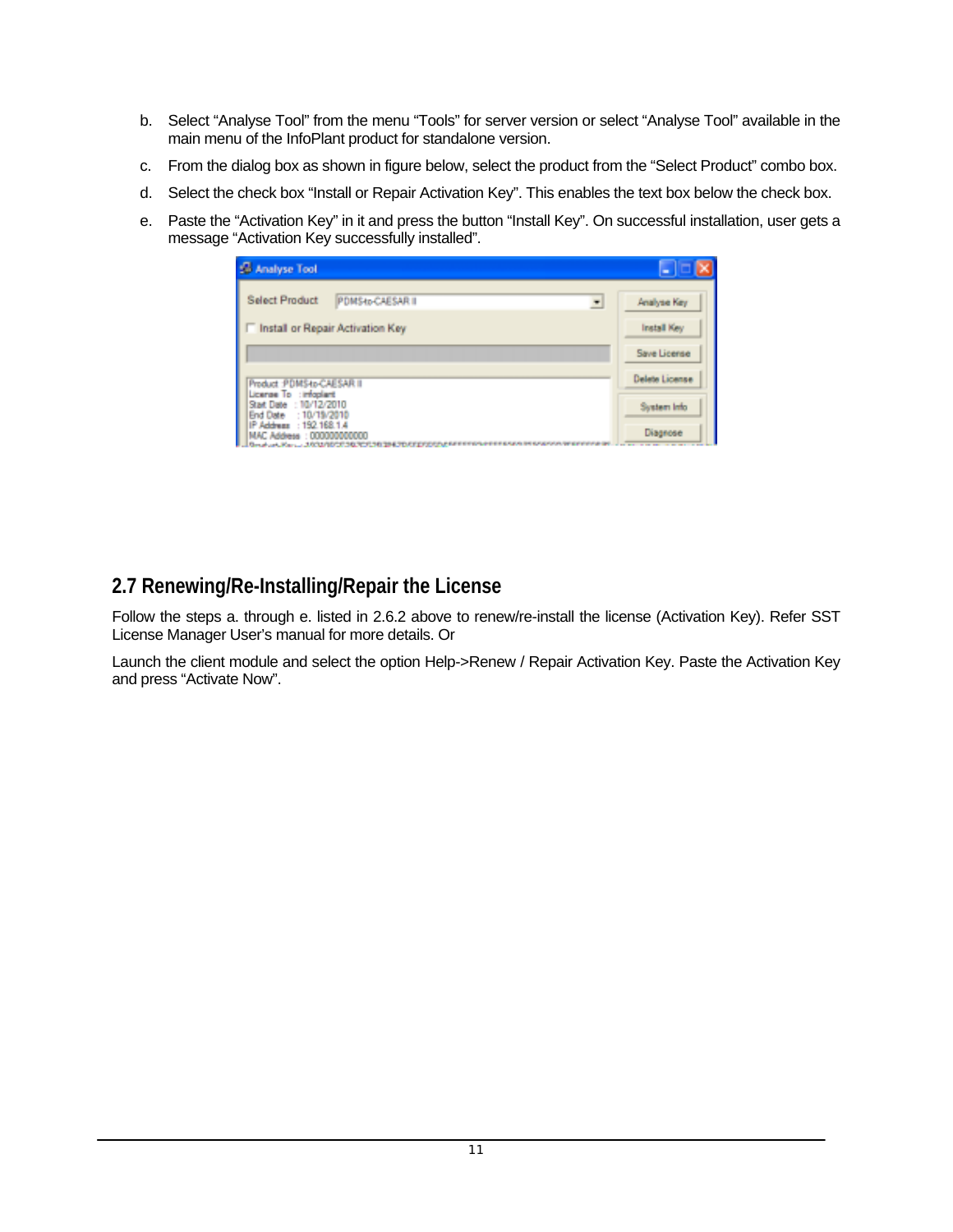- <span id="page-10-0"></span>b. Select "Analyse Tool" from the menu "Tools" for server version or select "Analyse Tool" available in the main menu of the InfoPlant product for standalone version.
- c. From the dialog box as shown in figure below, select the product from the "Select Product" combo box.
- d. Select the check box "Install or Repair Activation Key". This enables the text box below the check box.
- e. Paste the "Activation Key" in it and press the button "Install Key". On successful installation, user gets a message "Activation Key successfully installed".

| Analyse Tool                                                                              | ◆                  |
|-------------------------------------------------------------------------------------------|--------------------|
| <b>Select Product</b><br>PDMS4p-CAESAR II<br>$\blacksquare$                               | Analyse Key        |
| Install or Repair Activation Key                                                          | Install Key        |
|                                                                                           | Save License       |
| Product : PDMS-to-CAESAR II                                                               | Delete License     |
| License To : infoplant<br>Start Date : 10/12/2010<br>End Date : 10/19/2010                | <b>System Info</b> |
| IP Address : 192.168.1.4<br>MAC Address : 000000000000<br><b><i>FIRE TREE TRIATER</i></b> | Diagnose           |
|                                                                                           |                    |
|                                                                                           |                    |
|                                                                                           |                    |
|                                                                                           |                    |
|                                                                                           |                    |

## **2.7 Renewing/Re-Installing/Repair the License**

Follow the steps a. through e. listed in 2.6.2 above to renew/re-install the license (Activation Key). Refer SST License Manager User's manual for more details. Or

Launch the client module and select the option Help->Renew / Repair Activation Key. Paste the Activation Key and press "Activate Now".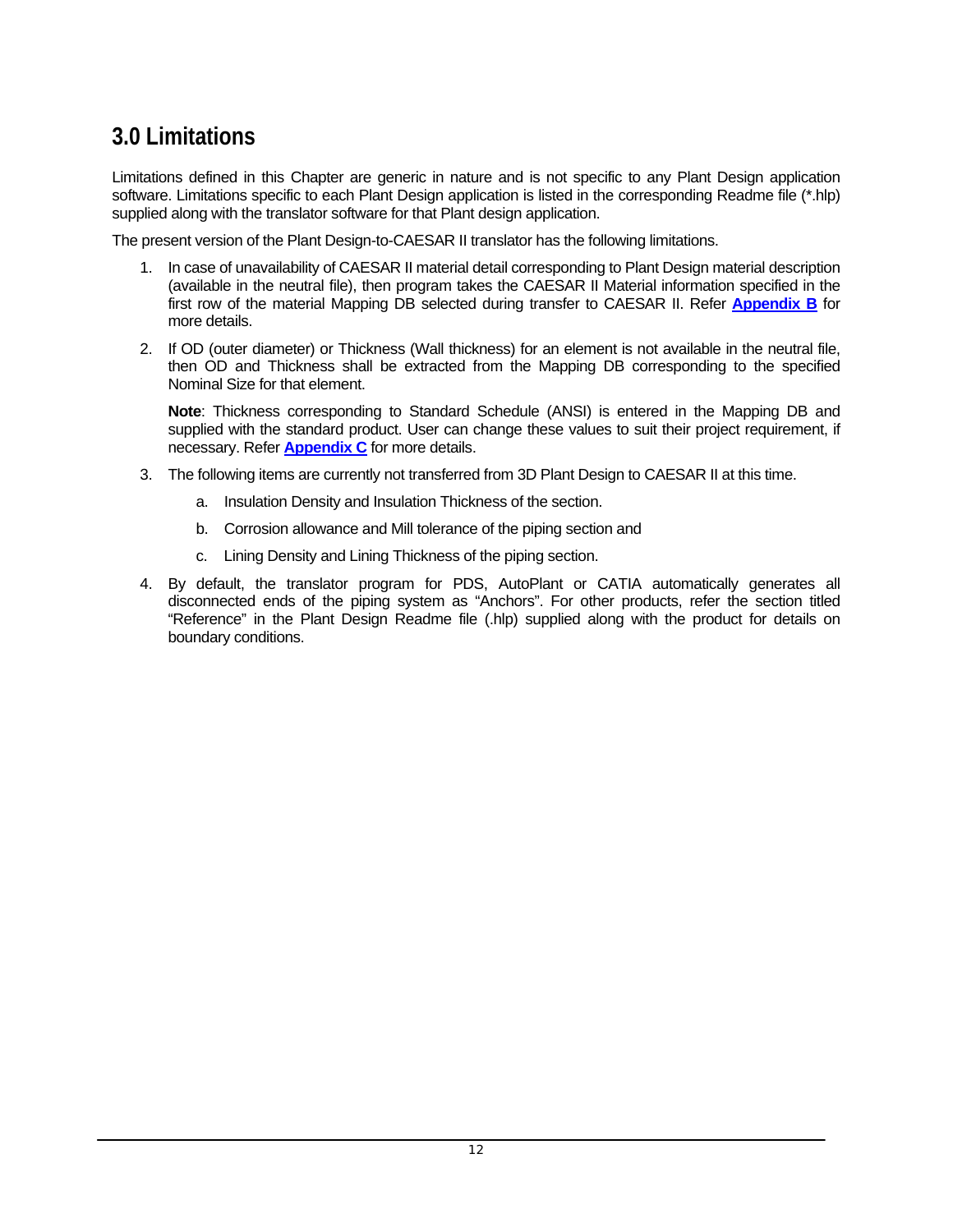# <span id="page-11-0"></span>**3.0 Limitations**

Limitations defined in this Chapter are generic in nature and is not specific to any Plant Design application software. Limitations specific to each Plant Design application is listed in the corresponding Readme file (\*.hlp) supplied along with the translator software for that Plant design application.

The present version of the Plant Design-to-CAESAR II translator has the following limitations.

- 1. In case of unavailability of CAESAR II material detail corresponding to Plant Design material description (available in the neutral file), then program takes the CAESAR II Material information specified in the first row of the material Mapping DB selected during transfer to CAESAR II. Refer **[Appendix B](#page-18-0)** for more details.
- 2. If OD (outer diameter) or Thickness (Wall thickness) for an element is not available in the neutral file, then OD and Thickness shall be extracted from the Mapping DB corresponding to the specified Nominal Size for that element.

**Note**: Thickness corresponding to Standard Schedule (ANSI) is entered in the Mapping DB and supplied with the standard product. User can change these values to suit their project requirement, if necessary. Refer **[Appendix C](#page-21-0)** for more details.

- 3. The following items are currently not transferred from 3D Plant Design to CAESAR II at this time.
	- a. Insulation Density and Insulation Thickness of the section.
	- b. Corrosion allowance and Mill tolerance of the piping section and
	- c. Lining Density and Lining Thickness of the piping section.
- 4. By default, the translator program for PDS, AutoPlant or CATIA automatically generates all disconnected ends of the piping system as "Anchors". For other products, refer the section titled "Reference" in the Plant Design Readme file (.hlp) supplied along with the product for details on boundary conditions.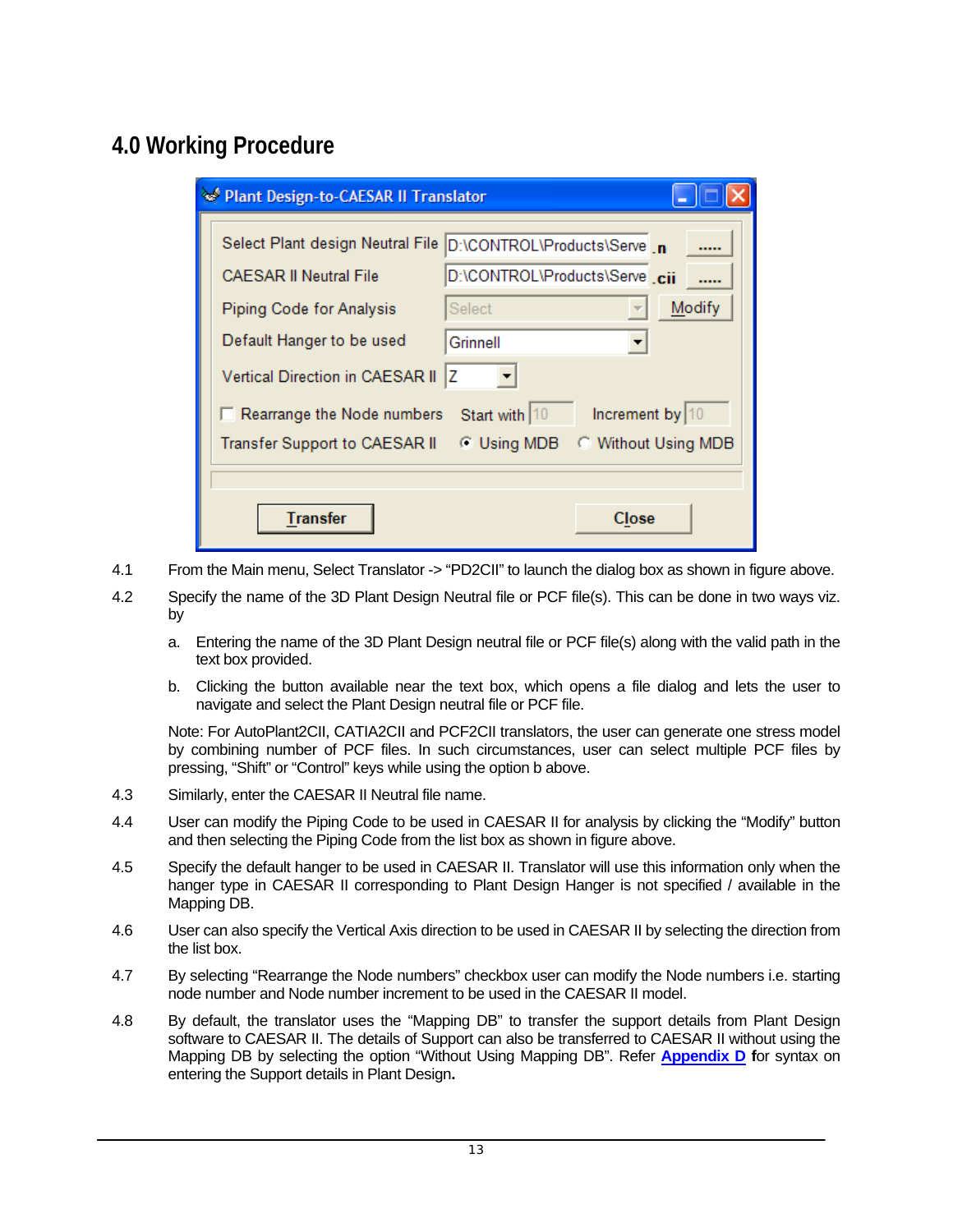# <span id="page-12-0"></span>**4.0 Working Procedure**

| Plant Design-to-CAESAR II Translator |                                   |                                |                     |  |
|--------------------------------------|-----------------------------------|--------------------------------|---------------------|--|
|                                      | Select Plant design Neutral File  | D:\CONTROL\Products\Serve _n   |                     |  |
|                                      | <b>CAESAR II Neutral File</b>     | D:\CONTROL\Products\Serve .cii |                     |  |
|                                      | Piping Code for Analysis          | Select                         | Modify              |  |
|                                      | Default Hanger to be used         | Grinnell                       |                     |  |
|                                      | Vertical Direction in CAESAR II   | z                              |                     |  |
|                                      | $\Box$ Rearrange the Node numbers | Start with 10                  | Increment by $ 10$  |  |
|                                      | Transfer Support to CAESAR II     | <b>C</b> Using MDB             | C Without Using MDB |  |
|                                      |                                   |                                |                     |  |
|                                      | <b>Transfer</b>                   |                                | Close               |  |

- 4.1 From the Main menu, Select Translator -> "PD2CII" to launch the dialog box as shown in figure above.
- 4.2 Specify the name of the 3D Plant Design Neutral file or PCF file(s). This can be done in two ways viz. by
	- a. Entering the name of the 3D Plant Design neutral file or PCF file(s) along with the valid path in the text box provided.
	- b. Clicking the button available near the text box, which opens a file dialog and lets the user to navigate and select the Plant Design neutral file or PCF file.

Note: For AutoPlant2CII, CATIA2CII and PCF2CII translators, the user can generate one stress model by combining number of PCF files. In such circumstances, user can select multiple PCF files by pressing, "Shift" or "Control" keys while using the option b above.

- 4.3 Similarly, enter the CAESAR II Neutral file name.
- 4.4 User can modify the Piping Code to be used in CAESAR II for analysis by clicking the "Modify" button and then selecting the Piping Code from the list box as shown in figure above.
- 4.5 Specify the default hanger to be used in CAESAR II. Translator will use this information only when the hanger type in CAESAR II corresponding to Plant Design Hanger is not specified / available in the Mapping DB.
- 4.6 User can also specify the Vertical Axis direction to be used in CAESAR II by selecting the direction from the list box.
- 4.7 By selecting "Rearrange the Node numbers" checkbox user can modify the Node numbers i.e. starting node number and Node number increment to be used in the CAESAR II model.
- 4.8 By default, the translator uses the "Mapping DB" to transfer the support details from Plant Design software to CAESAR II. The details of Support can also be transferred to CAESAR II without using the Mapping DB by selecting the option "Without Using Mapping DB". Refer **[Appendix D](#page-22-0) f**or syntax on entering the Support details in Plant Design**.**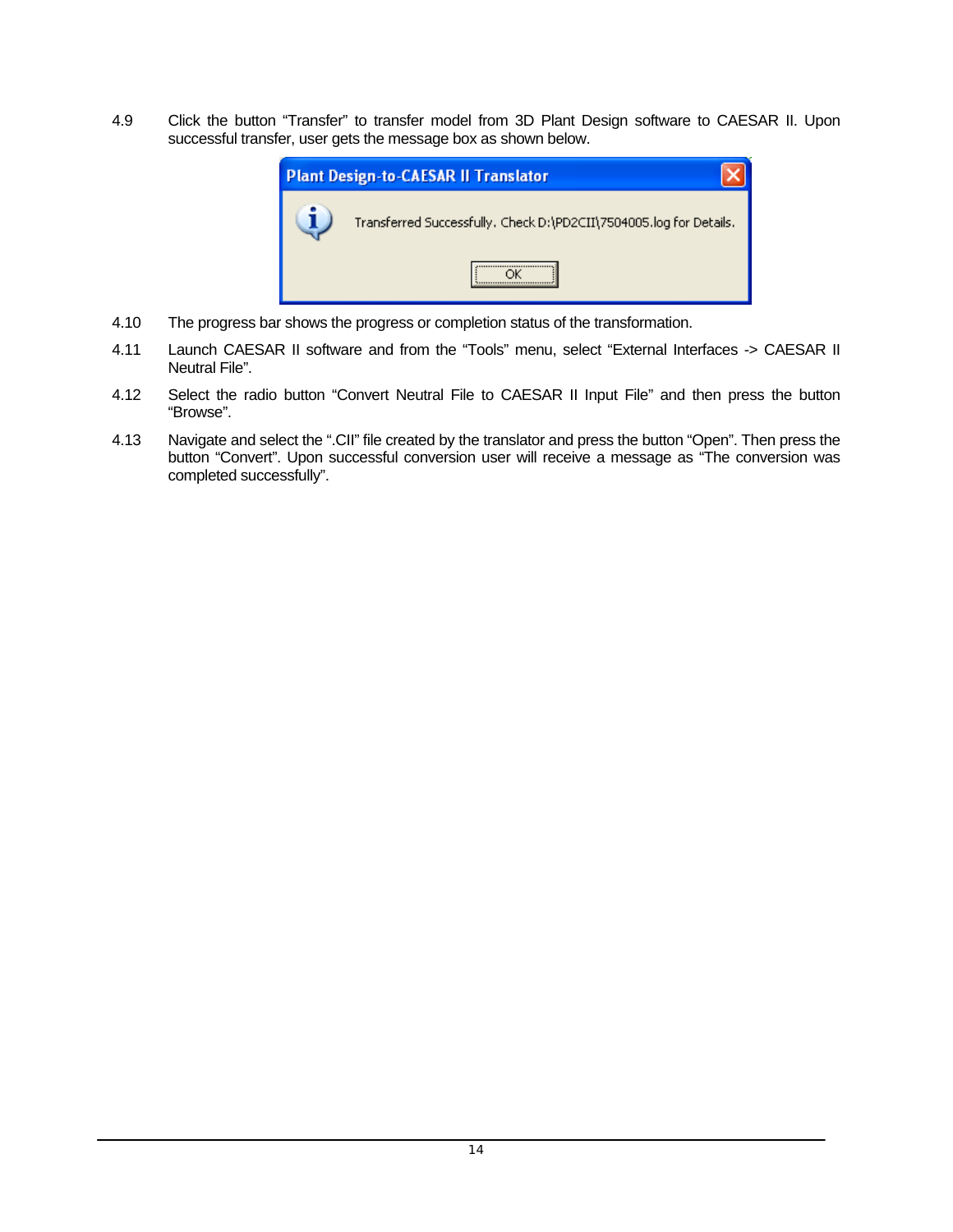4.9 Click the button "Transfer" to transfer model from 3D Plant Design software to CAESAR II. Upon successful transfer, user gets the message box as shown below.



- 4.10 The progress bar shows the progress or completion status of the transformation.
- 4.11 Launch CAESAR II software and from the "Tools" menu, select "External Interfaces -> CAESAR II Neutral File".
- 4.12 Select the radio button "Convert Neutral File to CAESAR II Input File" and then press the button "Browse".
- 4.13 Navigate and select the ".CII" file created by the translator and press the button "Open". Then press the button "Convert". Upon successful conversion user will receive a message as "The conversion was completed successfully".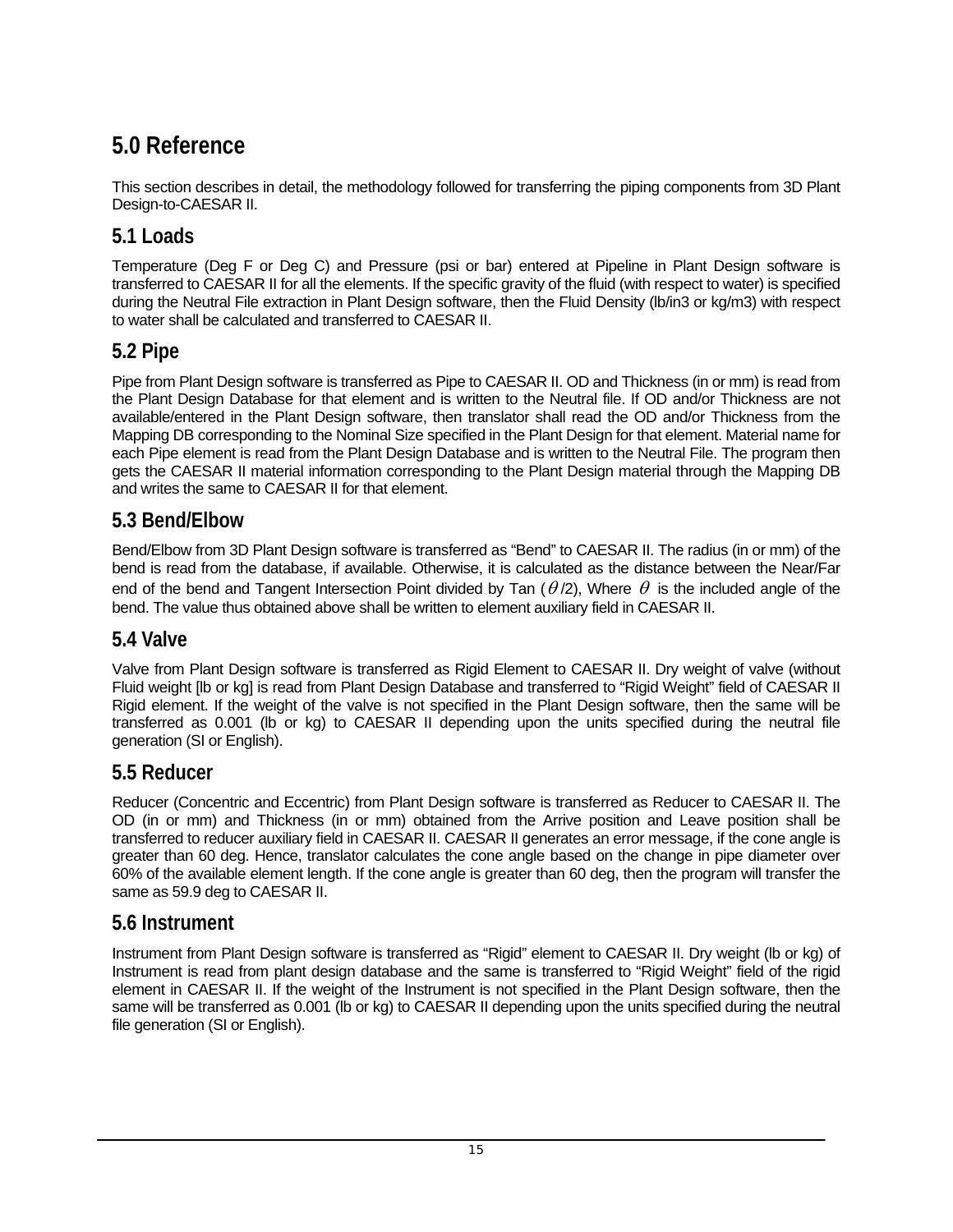# <span id="page-14-0"></span>**5.0 Reference**

This section describes in detail, the methodology followed for transferring the piping components from 3D Plant Design-to-CAESAR II.

## **5.1 Loads**

Temperature (Deg F or Deg C) and Pressure (psi or bar) entered at Pipeline in Plant Design software is transferred to CAESAR II for all the elements. If the specific gravity of the fluid (with respect to water) is specified during the Neutral File extraction in Plant Design software, then the Fluid Density (lb/in3 or kg/m3) with respect to water shall be calculated and transferred to CAESAR II.

## **5.2 Pipe**

Pipe from Plant Design software is transferred as Pipe to CAESAR II. OD and Thickness (in or mm) is read from the Plant Design Database for that element and is written to the Neutral file. If OD and/or Thickness are not available/entered in the Plant Design software, then translator shall read the OD and/or Thickness from the Mapping DB corresponding to the Nominal Size specified in the Plant Design for that element. Material name for each Pipe element is read from the Plant Design Database and is written to the Neutral File. The program then gets the CAESAR II material information corresponding to the Plant Design material through the Mapping DB and writes the same to CAESAR II for that element.

## **5.3 Bend/Elbow**

Bend/Elbow from 3D Plant Design software is transferred as "Bend" to CAESAR II. The radius (in or mm) of the bend is read from the database, if available. Otherwise, it is calculated as the distance between the Near/Far end of the bend and Tangent Intersection Point divided by Tan  $(\theta/2)$ , Where  $\theta$  is the included angle of the bend. The value thus obtained above shall be written to element auxiliary field in CAESAR II.

## **5.4 Valve**

Valve from Plant Design software is transferred as Rigid Element to CAESAR II. Dry weight of valve (without Fluid weight [lb or kg] is read from Plant Design Database and transferred to "Rigid Weight" field of CAESAR II Rigid element. If the weight of the valve is not specified in the Plant Design software, then the same will be transferred as 0.001 (lb or kg) to CAESAR II depending upon the units specified during the neutral file generation (SI or English).

## **5.5 Reducer**

Reducer (Concentric and Eccentric) from Plant Design software is transferred as Reducer to CAESAR II. The OD (in or mm) and Thickness (in or mm) obtained from the Arrive position and Leave position shall be transferred to reducer auxiliary field in CAESAR II. CAESAR II generates an error message, if the cone angle is greater than 60 deg. Hence, translator calculates the cone angle based on the change in pipe diameter over 60% of the available element length. If the cone angle is greater than 60 deg, then the program will transfer the same as 59.9 deg to CAESAR II.

## **5.6 Instrument**

Instrument from Plant Design software is transferred as "Rigid" element to CAESAR II. Dry weight (lb or kg) of Instrument is read from plant design database and the same is transferred to "Rigid Weight" field of the rigid element in CAESAR II. If the weight of the Instrument is not specified in the Plant Design software, then the same will be transferred as 0.001 (lb or kg) to CAESAR II depending upon the units specified during the neutral file generation (SI or English).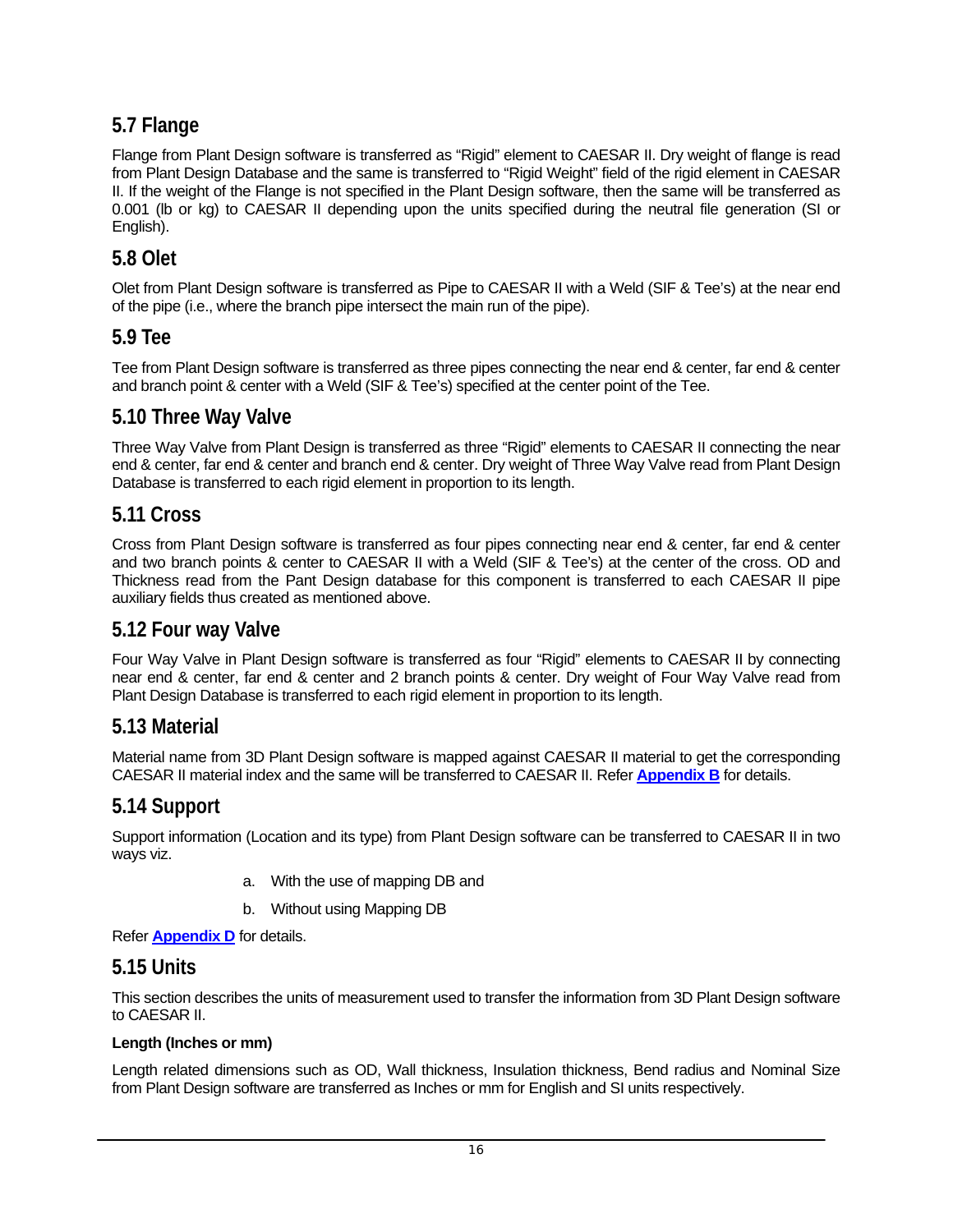## <span id="page-15-0"></span>**5.7 Flange**

Flange from Plant Design software is transferred as "Rigid" element to CAESAR II. Dry weight of flange is read from Plant Design Database and the same is transferred to "Rigid Weight" field of the rigid element in CAESAR II. If the weight of the Flange is not specified in the Plant Design software, then the same will be transferred as 0.001 (lb or kg) to CAESAR II depending upon the units specified during the neutral file generation (SI or English).

## **5.8 Olet**

Olet from Plant Design software is transferred as Pipe to CAESAR II with a Weld (SIF & Tee's) at the near end of the pipe (i.e., where the branch pipe intersect the main run of the pipe).

## **5.9 Tee**

Tee from Plant Design software is transferred as three pipes connecting the near end & center, far end & center and branch point & center with a Weld (SIF & Tee's) specified at the center point of the Tee.

## **5.10 Three Way Valve**

Three Way Valve from Plant Design is transferred as three "Rigid" elements to CAESAR II connecting the near end & center, far end & center and branch end & center. Dry weight of Three Way Valve read from Plant Design Database is transferred to each rigid element in proportion to its length.

## **5.11 Cross**

Cross from Plant Design software is transferred as four pipes connecting near end & center, far end & center and two branch points & center to CAESAR II with a Weld (SIF & Tee's) at the center of the cross. OD and Thickness read from the Pant Design database for this component is transferred to each CAESAR II pipe auxiliary fields thus created as mentioned above.

## **5.12 Four way Valve**

Four Way Valve in Plant Design software is transferred as four "Rigid" elements to CAESAR II by connecting near end & center, far end & center and 2 branch points & center. Dry weight of Four Way Valve read from Plant Design Database is transferred to each rigid element in proportion to its length.

## **5.13 Material**

Material name from 3D Plant Design software is mapped against CAESAR II material to get the corresponding CAESAR II material index and the same will be transferred to CAESAR II. Refer **[Appendix B](#page-18-0)** for details.

## **5.14 Support**

Support information (Location and its type) from Plant Design software can be transferred to CAESAR II in two ways viz.

- a. With the use of mapping DB and
- b. Without using Mapping DB

#### Refer **[Appendix D](#page-22-0)** for details.

### **5.15 Units**

This section describes the units of measurement used to transfer the information from 3D Plant Design software to CAESAR II.

#### **Length (Inches or mm)**

Length related dimensions such as OD, Wall thickness, Insulation thickness, Bend radius and Nominal Size from Plant Design software are transferred as Inches or mm for English and SI units respectively.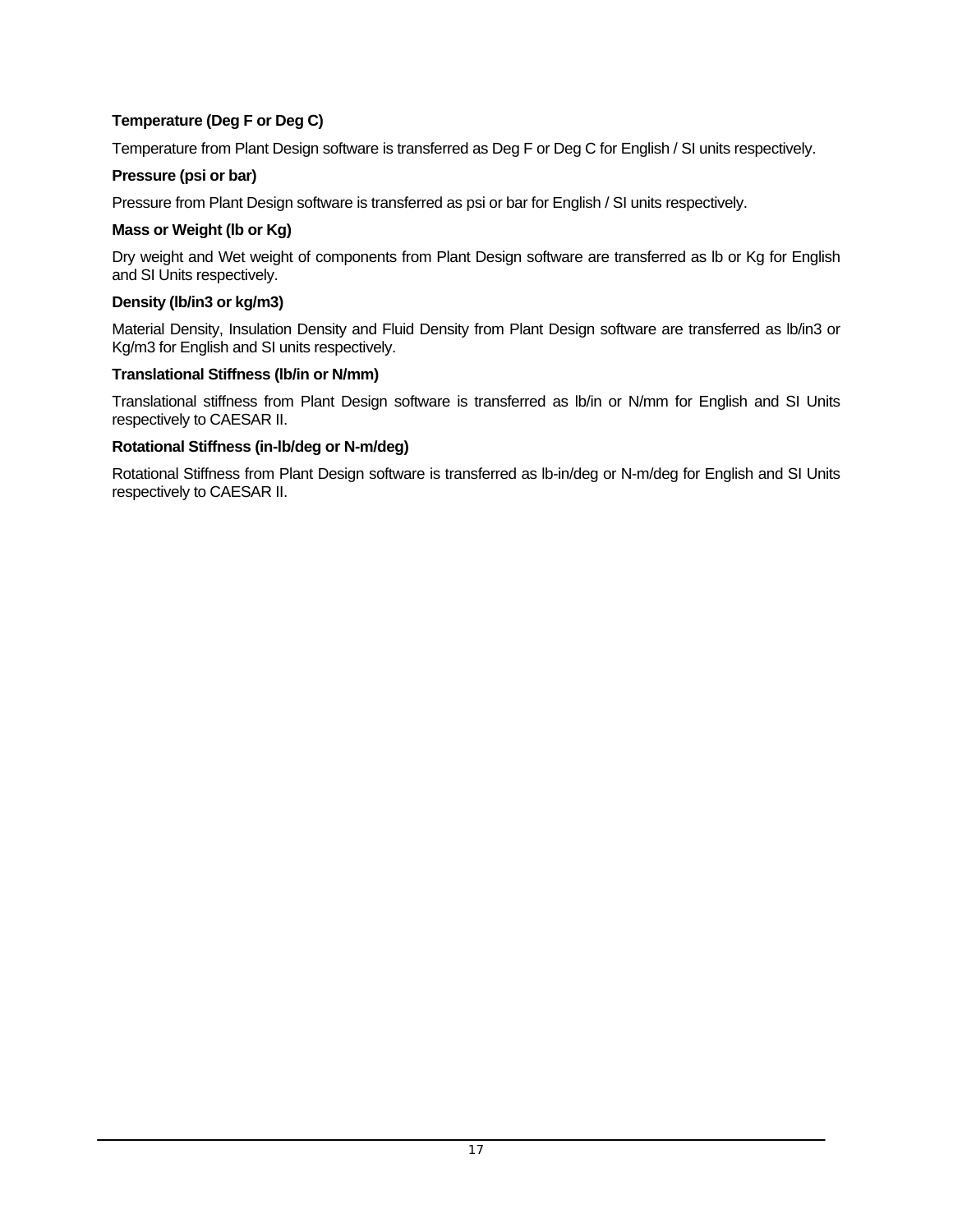### **Temperature (Deg F or Deg C)**

Temperature from Plant Design software is transferred as Deg F or Deg C for English / SI units respectively.

#### **Pressure (psi or bar)**

Pressure from Plant Design software is transferred as psi or bar for English / SI units respectively.

#### **Mass or Weight (lb or Kg)**

Dry weight and Wet weight of components from Plant Design software are transferred as lb or Kg for English and SI Units respectively.

### **Density (lb/in3 or kg/m3)**

Material Density, Insulation Density and Fluid Density from Plant Design software are transferred as lb/in3 or Kg/m3 for English and SI units respectively.

#### **Translational Stiffness (lb/in or N/mm)**

Translational stiffness from Plant Design software is transferred as lb/in or N/mm for English and SI Units respectively to CAESAR II.

#### **Rotational Stiffness (in-lb/deg or N-m/deg)**

Rotational Stiffness from Plant Design software is transferred as lb-in/deg or N-m/deg for English and SI Units respectively to CAESAR II.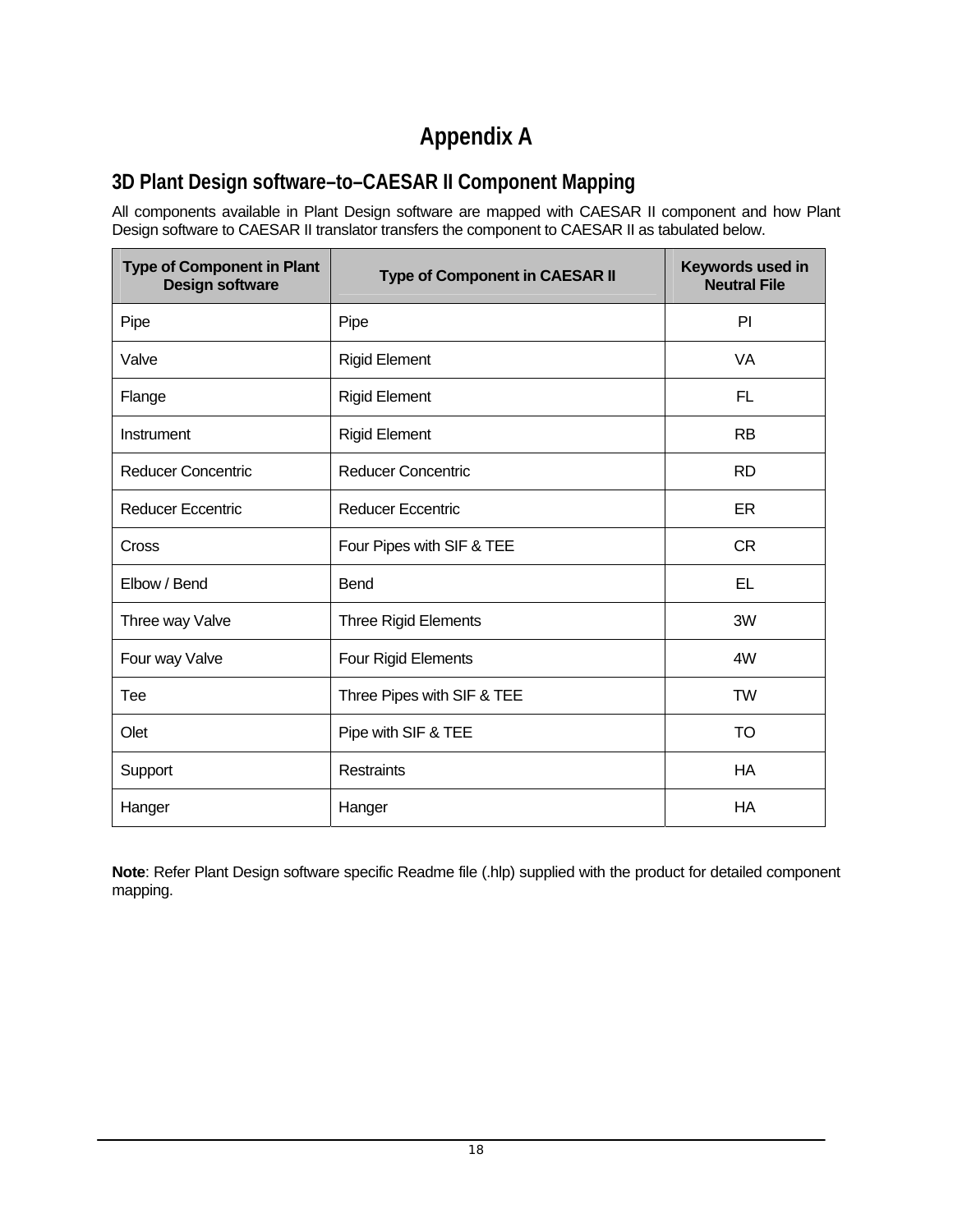# **Appendix A**

# <span id="page-17-0"></span>**3D Plant Design software–to–CAESAR II Component Mapping**

All components available in Plant Design software are mapped with CAESAR II component and how Plant Design software to CAESAR II translator transfers the component to CAESAR II as tabulated below.

| <b>Type of Component in Plant</b><br><b>Design software</b> | <b>Type of Component in CAESAR II</b> | Keywords used in<br><b>Neutral File</b> |
|-------------------------------------------------------------|---------------------------------------|-----------------------------------------|
| Pipe                                                        | Pipe                                  | PI                                      |
| Valve                                                       | <b>Rigid Element</b>                  | VA                                      |
| Flange                                                      | <b>Rigid Element</b>                  | FL                                      |
| Instrument                                                  | <b>Rigid Element</b>                  | <b>RB</b>                               |
| <b>Reducer Concentric</b>                                   | <b>Reducer Concentric</b>             | <b>RD</b>                               |
| <b>Reducer Eccentric</b>                                    | <b>Reducer Eccentric</b>              | ER                                      |
| Cross                                                       | Four Pipes with SIF & TEE             | <b>CR</b>                               |
| Elbow / Bend                                                | Bend                                  | EL                                      |
| Three way Valve                                             | <b>Three Rigid Elements</b>           | 3W                                      |
| Four way Valve                                              | Four Rigid Elements                   | 4W                                      |
| Tee                                                         | Three Pipes with SIF & TEE            | <b>TW</b>                               |
| Olet                                                        | Pipe with SIF & TEE                   | <b>TO</b>                               |
| Support                                                     | Restraints                            | <b>HA</b>                               |
| Hanger                                                      | Hanger                                | HA                                      |

**Note**: Refer Plant Design software specific Readme file (.hlp) supplied with the product for detailed component mapping.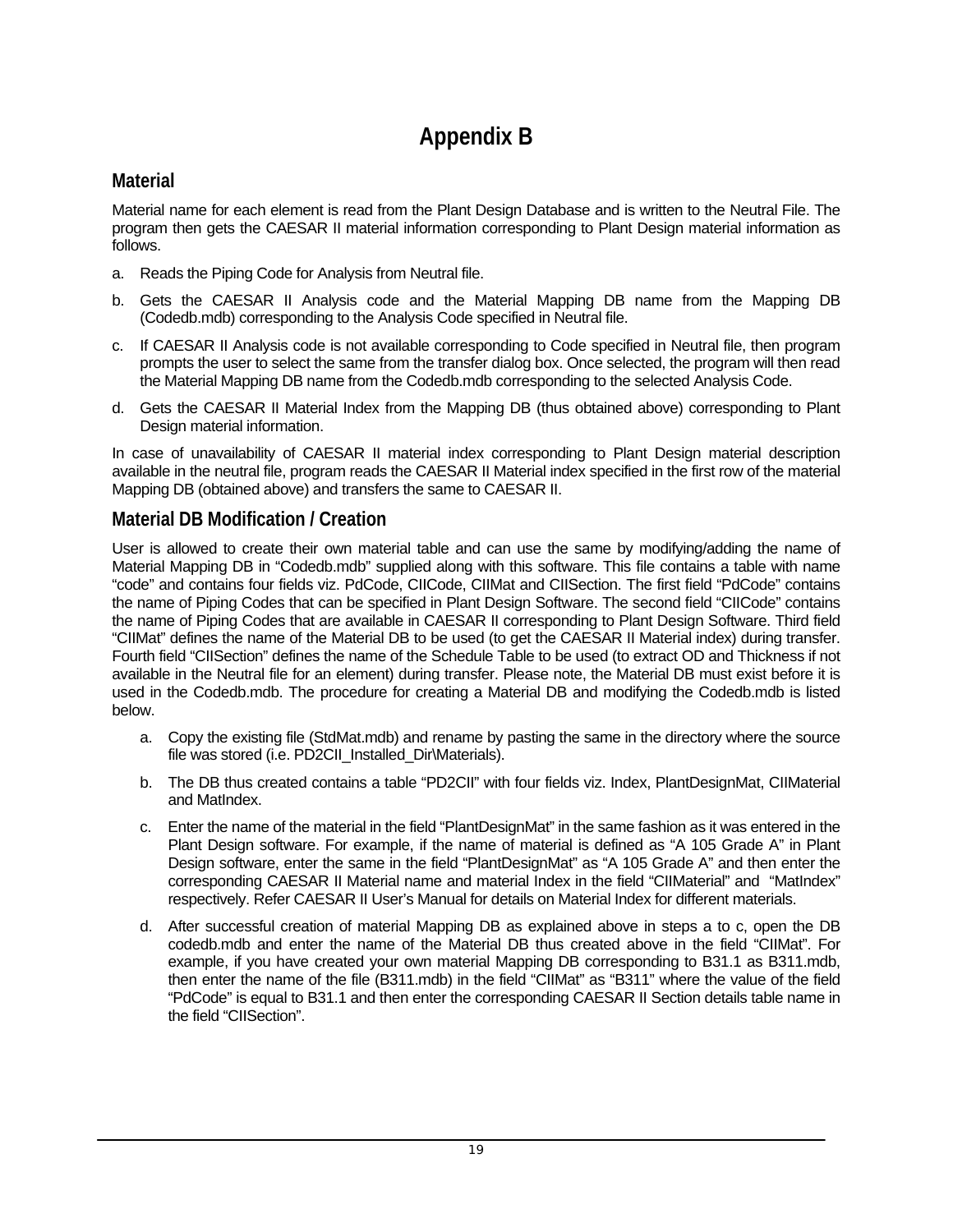# **Appendix B**

## <span id="page-18-0"></span>**Material**

Material name for each element is read from the Plant Design Database and is written to the Neutral File. The program then gets the CAESAR II material information corresponding to Plant Design material information as follows.

- a. Reads the Piping Code for Analysis from Neutral file.
- b. Gets the CAESAR II Analysis code and the Material Mapping DB name from the Mapping DB (Codedb.mdb) corresponding to the Analysis Code specified in Neutral file.
- c. If CAESAR II Analysis code is not available corresponding to Code specified in Neutral file, then program prompts the user to select the same from the transfer dialog box. Once selected, the program will then read the Material Mapping DB name from the Codedb.mdb corresponding to the selected Analysis Code.
- d. Gets the CAESAR II Material Index from the Mapping DB (thus obtained above) corresponding to Plant Design material information.

In case of unavailability of CAESAR II material index corresponding to Plant Design material description available in the neutral file, program reads the CAESAR II Material index specified in the first row of the material Mapping DB (obtained above) and transfers the same to CAESAR II.

## **Material DB Modification / Creation**

User is allowed to create their own material table and can use the same by modifying/adding the name of Material Mapping DB in "Codedb.mdb" supplied along with this software. This file contains a table with name "code" and contains four fields viz. PdCode, CIICode, CIIMat and CIISection. The first field "PdCode" contains the name of Piping Codes that can be specified in Plant Design Software. The second field "CIICode" contains the name of Piping Codes that are available in CAESAR II corresponding to Plant Design Software. Third field "CIIMat" defines the name of the Material DB to be used (to get the CAESAR II Material index) during transfer. Fourth field "CIISection" defines the name of the Schedule Table to be used (to extract OD and Thickness if not available in the Neutral file for an element) during transfer. Please note, the Material DB must exist before it is used in the Codedb.mdb. The procedure for creating a Material DB and modifying the Codedb.mdb is listed below.

- a. Copy the existing file (StdMat.mdb) and rename by pasting the same in the directory where the source file was stored (i.e. PD2CII Installed Dir\Materials).
- b. The DB thus created contains a table "PD2CII" with four fields viz. Index, PlantDesignMat, CIIMaterial and MatIndex.
- c. Enter the name of the material in the field "PlantDesignMat" in the same fashion as it was entered in the Plant Design software. For example, if the name of material is defined as "A 105 Grade A" in Plant Design software, enter the same in the field "PlantDesignMat" as "A 105 Grade A" and then enter the corresponding CAESAR II Material name and material Index in the field "CIIMaterial" and "MatIndex" respectively. Refer CAESAR II User's Manual for details on Material Index for different materials.
- d. After successful creation of material Mapping DB as explained above in steps a to c, open the DB codedb.mdb and enter the name of the Material DB thus created above in the field "CIIMat". For example, if you have created your own material Mapping DB corresponding to B31.1 as B311.mdb, then enter the name of the file (B311.mdb) in the field "CIIMat" as "B311" where the value of the field "PdCode" is equal to B31.1 and then enter the corresponding CAESAR II Section details table name in the field "CIISection".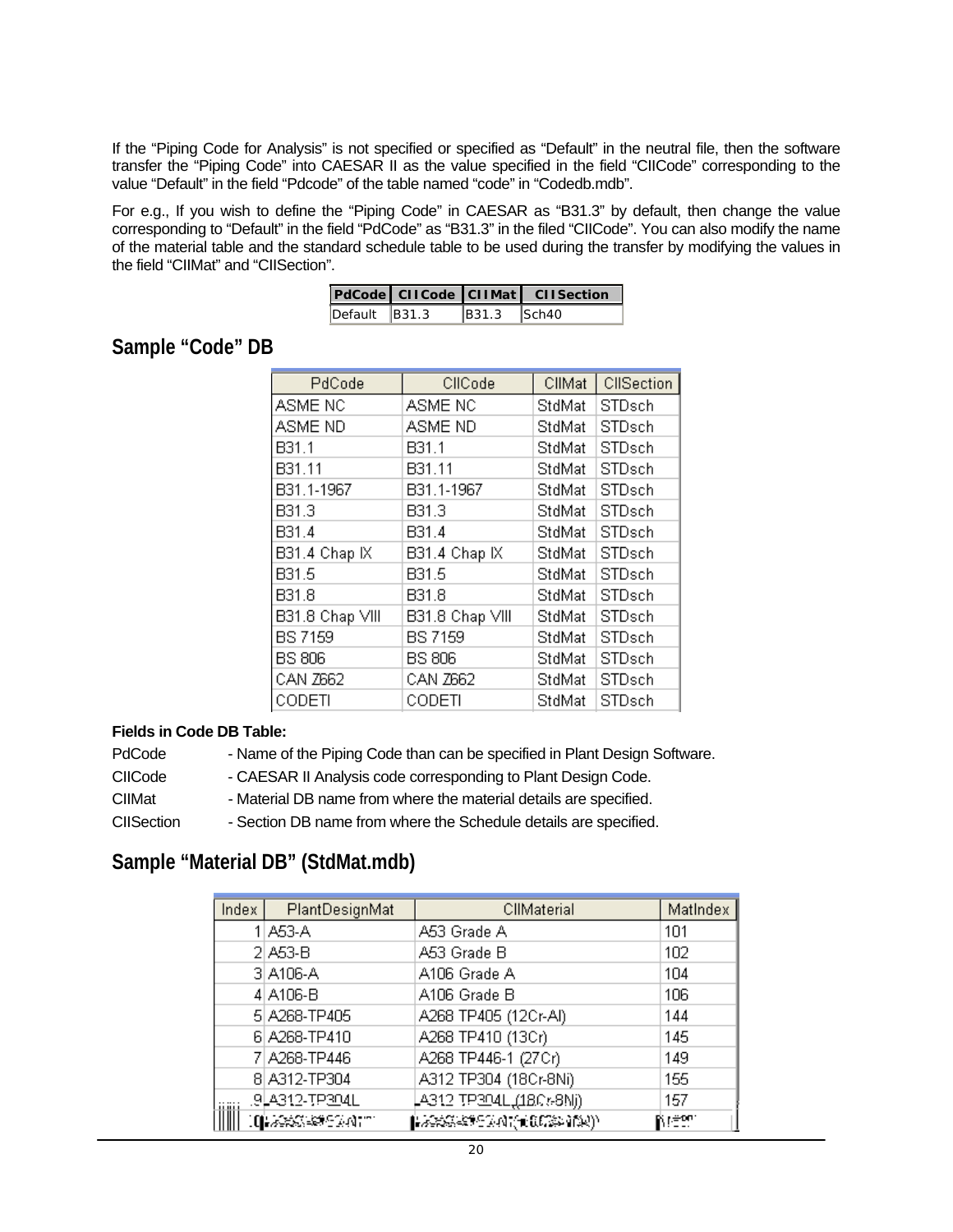<span id="page-19-0"></span>If the "Piping Code for Analysis" is not specified or specified as "Default" in the neutral file, then the software transfer the "Piping Code" into CAESAR II as the value specified in the field "CIICode" corresponding to the value "Default" in the field "Pdcode" of the table named "code" in "Codedb.mdb".

For e.g., If you wish to define the "Piping Code" in CAESAR as "B31.3" by default, then change the value corresponding to "Default" in the field "PdCode" as "B31.3" in the filed "CIICode". You can also modify the name of the material table and the standard schedule table to be used during the transfer by modifying the values in the field "CIIMat" and "CIISection".

|                                         |                 | PdCode CIICode CIIMat CIISection |
|-----------------------------------------|-----------------|----------------------------------|
| $\overline{$ Default $\overline{B}31.3$ | $ B31.3 $ Sch40 |                                  |

## **Sample "Code" DB**

| PdCode          | CIICode         | CIIMat | CIISection    |
|-----------------|-----------------|--------|---------------|
| ASME NC         | ASME NC         | StdMat | STDsch        |
| ASME ND         | ASME ND         | StdMat | STDsch        |
| B31.1           | B31.1           | StdMat | STDsch        |
| B31.11          | B31.11          | StdMat | <b>STDsch</b> |
| B31.1-1967      | B31.1-1967      | StdMat | STDsch        |
| B31.3           | B31.3           | StdMat | STDsch        |
| B31.4           | B31.4           | StdMat | STDsch        |
| B31.4 Chap IX   | B31.4 Chap IX   | StdMat | STDsch        |
| B31.5           | B31.5           | StdMat | STDsch        |
| B31.8           | B31.8           | StdMat | STDsch        |
| B31.8 Chap VIII | B31.8 Chap VIII | StdMat | <b>STDsch</b> |
| <b>BS 7159</b>  | <b>BS 7159</b>  | StdMat | STDsch        |
| <b>BS 806</b>   | <b>BS 806</b>   | StdMat | STDsch        |
| CAN Z662        | CAN Z662        | StdMat | STDsch        |
| CODETI          | CODETI          | StdMat | STDsch        |

#### **Fields in Code DB Table:**

| PdCode<br>- Name of the Piping Code than can be specified in Plant Design Software. |  |
|-------------------------------------------------------------------------------------|--|
|-------------------------------------------------------------------------------------|--|

CIICode - CAESAR II Analysis code corresponding to Plant Design Code.

CIIMat - Material DB name from where the material details are specified.

CIISection - Section DB name from where the Schedule details are specified.

## **Sample "Material DB" (StdMat.mdb)**

| Index | PlantDesignMat        | CIIMaterial             | MatIndex |
|-------|-----------------------|-------------------------|----------|
|       | 1 A53-A               | A53 Grade A             | 101      |
|       | $2 $ A53-B            | A53 Grade B             | 102      |
|       | 3 A106-A              | A106 Grade A            | 104      |
|       | 4 A106-B              | A106 Grade B            | 106      |
|       | 5 A268-TP405          | A268 TP405 (12Cr-Al)    | 144      |
|       | 6 A268-TP410          | A268 TP410 (13Cr)       | 145      |
|       | 7 A268-TP446          | A268 TP446-1 (27Cr)     | 149      |
|       | 8 A312-TP304          | A312 TP304 (18Cr-8Ni)   | 155      |
|       | <u>.9 4312-TP304L</u> | LA312 TP304L,(18Cr-8Nj) | 157      |
|       | U AXX XX M            |                         | NGS.     |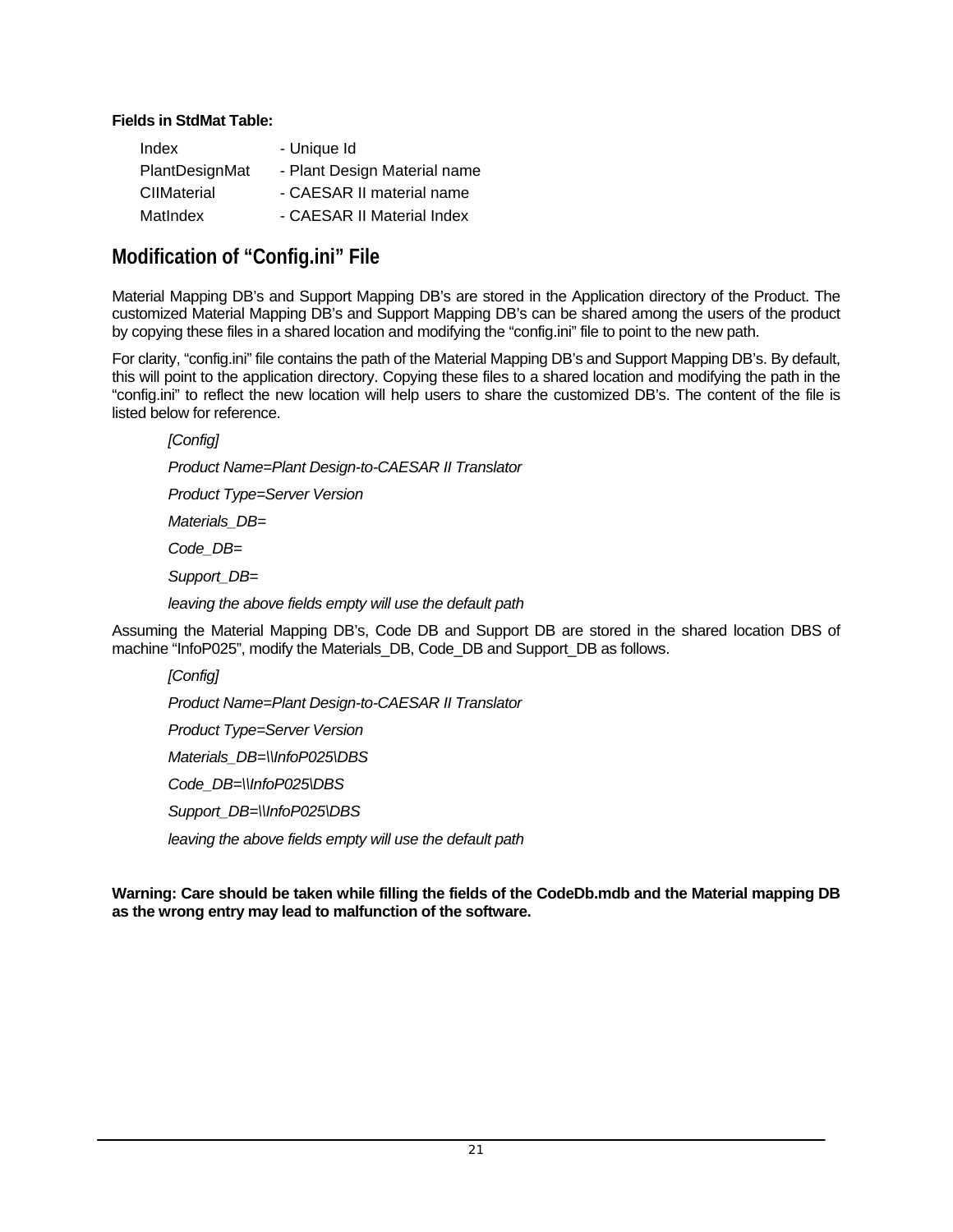#### <span id="page-20-0"></span>**Fields in StdMat Table:**

| Index          | - Unique Id                  |
|----------------|------------------------------|
| PlantDesignMat | - Plant Design Material name |
| CIIMaterial    | - CAESAR II material name    |
| MatIndex       | - CAESAR II Material Index   |

## **Modification of "Config.ini" File**

Material Mapping DB's and Support Mapping DB's are stored in the Application directory of the Product. The customized Material Mapping DB's and Support Mapping DB's can be shared among the users of the product by copying these files in a shared location and modifying the "config.ini" file to point to the new path.

For clarity, "config.ini" file contains the path of the Material Mapping DB's and Support Mapping DB's. By default, this will point to the application directory. Copying these files to a shared location and modifying the path in the "config.ini" to reflect the new location will help users to share the customized DB's. The content of the file is listed below for reference.

*[Config] Product Name=Plant Design-to-CAESAR II Translator Product Type=Server Version Materials\_DB= Code\_DB= Support\_DB= leaving the above fields empty will use the default path* 

Assuming the Material Mapping DB's, Code DB and Support DB are stored in the shared location DBS of machine "InfoP025", modify the Materials\_DB, Code\_DB and Support\_DB as follows.

*[Config] Product Name=Plant Design-to-CAESAR II Translator Product Type=Server Version Materials\_DB=\\InfoP025\DBS Code\_DB=\\InfoP025\DBS Support\_DB=\\InfoP025\DBS leaving the above fields empty will use the default path* 

**Warning: Care should be taken while filling the fields of the CodeDb.mdb and the Material mapping DB as the wrong entry may lead to malfunction of the software.**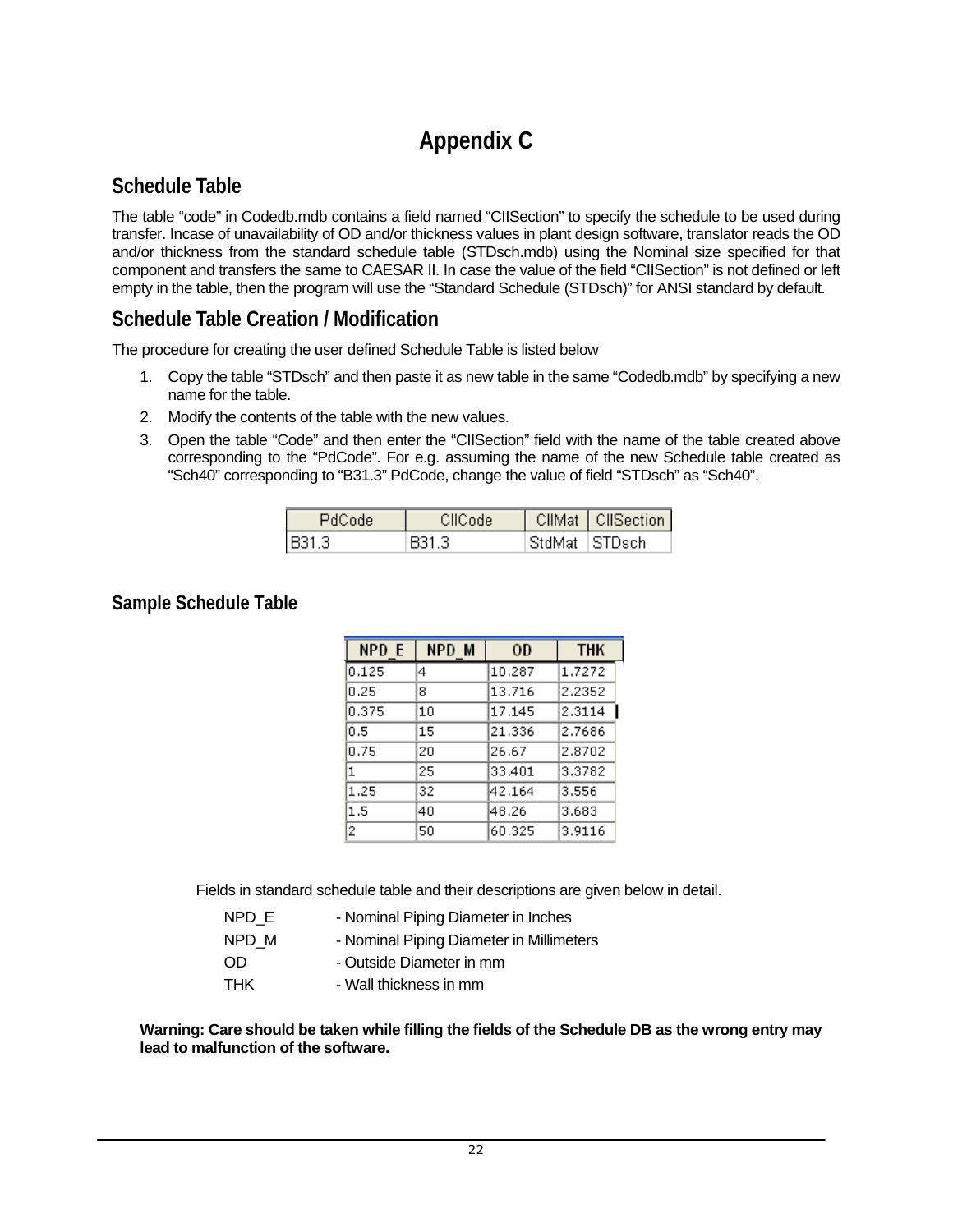# **Appendix C**

# <span id="page-21-0"></span>**Schedule Table**

The table "code" in Codedb.mdb contains a field named "CIISection" to specify the schedule to be used during transfer. Incase of unavailability of OD and/or thickness values in plant design software, translator reads the OD and/or thickness from the standard schedule table (STDsch.mdb) using the Nominal size specified for that component and transfers the same to CAESAR II. In case the value of the field "CIISection" is not defined or left empty in the table, then the program will use the "Standard Schedule (STDsch)" for ANSI standard by default.

## **Schedule Table Creation / Modification**

The procedure for creating the user defined Schedule Table is listed below

- 1. Copy the table "STDsch" and then paste it as new table in the same "Codedb.mdb" by specifying a new name for the table.
- 2. Modify the contents of the table with the new values.
- 3. Open the table "Code" and then enter the "CIISection" field with the name of the table created above corresponding to the "PdCode". For e.g. assuming the name of the new Schedule table created as "Sch40" corresponding to "B31.3" PdCode, change the value of field "STDsch" as "Sch40".

| PdCode  | CIICode |                   | CIIMat   CIISection |
|---------|---------|-------------------|---------------------|
| IB31-3. | -341 3  | -StdMat - ISTDsch |                     |

## **Sample Schedule Table**

| NPD E | NPD M | OD     | <b>THK</b> |
|-------|-------|--------|------------|
| 0.125 | 4     | 10.287 | 1.7272     |
| 0.25  | 8     | 13.716 | 2.2352     |
| 0.375 | 10    | 17.145 | 2.3114     |
| 0.5   | 15    | 21.336 | 2.7686     |
| 0.75  | 20    | 26.67  | 2.8702     |
| 1     | 25    | 33,401 | 3.3782     |
| 1.25  | 32    | 42.164 | 3.556      |
| 1.5   | 40    | 48.26  | 3.683      |
| 2     | 50    | 60.325 | 3.9116     |

Fields in standard schedule table and their descriptions are given below in detail.

| NPD E | - Nominal Piping Diameter in Inches      |
|-------|------------------------------------------|
| NPD M | - Nominal Piping Diameter in Millimeters |
| -OD.  | - Outside Diameter in mm                 |
| THK   | - Wall thickness in mm                   |

**Warning: Care should be taken while filling the fields of the Schedule DB as the wrong entry may lead to malfunction of the software.**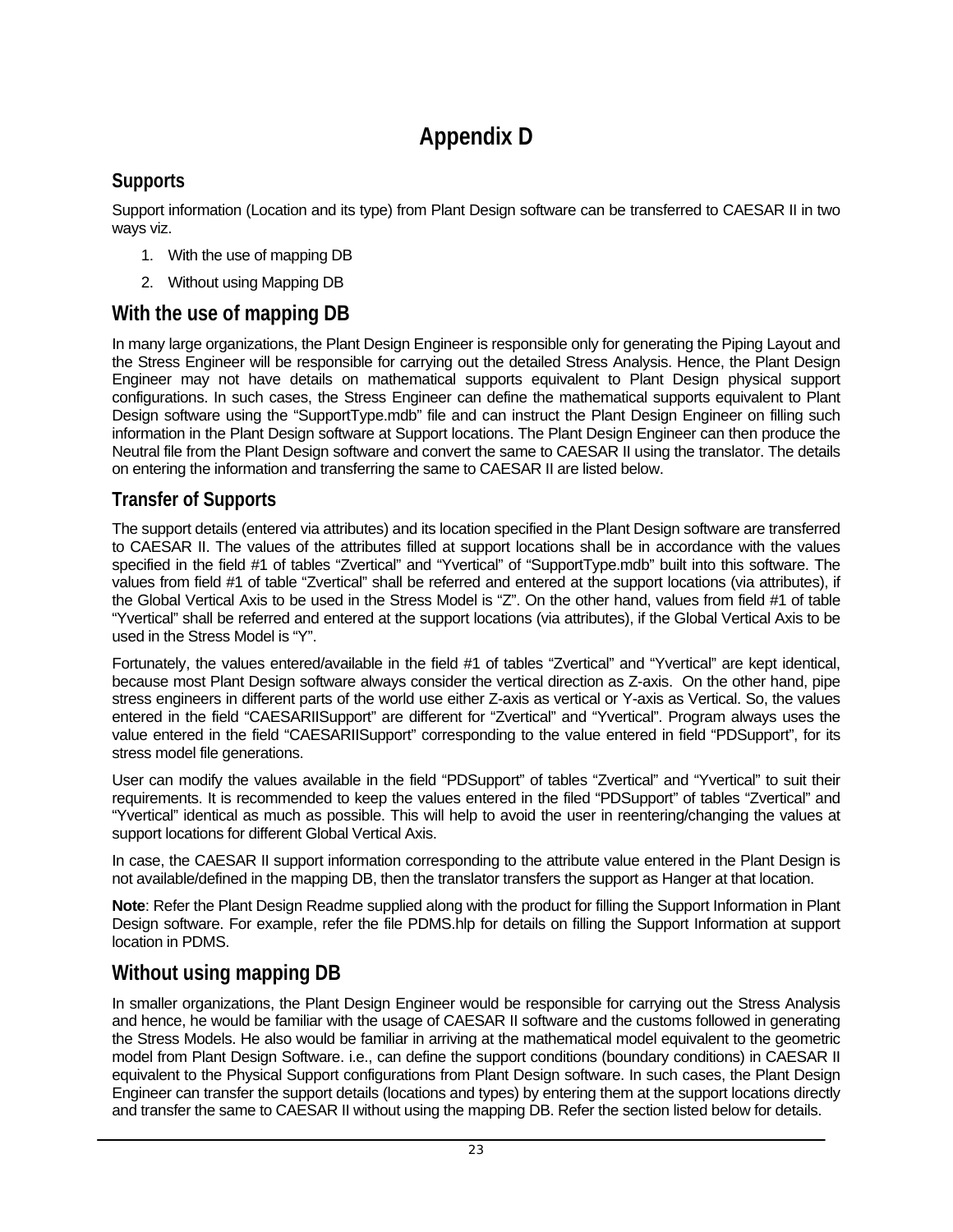# **Appendix D**

## <span id="page-22-0"></span>**Supports**

Support information (Location and its type) from Plant Design software can be transferred to CAESAR II in two ways viz.

- 1. With the use of mapping DB
- 2. Without using Mapping DB

# **With the use of mapping DB**

In many large organizations, the Plant Design Engineer is responsible only for generating the Piping Layout and the Stress Engineer will be responsible for carrying out the detailed Stress Analysis. Hence, the Plant Design Engineer may not have details on mathematical supports equivalent to Plant Design physical support configurations. In such cases, the Stress Engineer can define the mathematical supports equivalent to Plant Design software using the "SupportType.mdb" file and can instruct the Plant Design Engineer on filling such information in the Plant Design software at Support locations. The Plant Design Engineer can then produce the Neutral file from the Plant Design software and convert the same to CAESAR II using the translator. The details on entering the information and transferring the same to CAESAR II are listed below.

## **Transfer of Supports**

The support details (entered via attributes) and its location specified in the Plant Design software are transferred to CAESAR II. The values of the attributes filled at support locations shall be in accordance with the values specified in the field #1 of tables "Zvertical" and "Yvertical" of "SupportType.mdb" built into this software. The values from field #1 of table "Zvertical" shall be referred and entered at the support locations (via attributes), if the Global Vertical Axis to be used in the Stress Model is "Z". On the other hand, values from field #1 of table "Yvertical" shall be referred and entered at the support locations (via attributes), if the Global Vertical Axis to be used in the Stress Model is "Y".

Fortunately, the values entered/available in the field #1 of tables "Zvertical" and "Yvertical" are kept identical, because most Plant Design software always consider the vertical direction as Z-axis. On the other hand, pipe stress engineers in different parts of the world use either Z-axis as vertical or Y-axis as Vertical. So, the values entered in the field "CAESARIISupport" are different for "Zvertical" and "Yvertical". Program always uses the value entered in the field "CAESARIISupport" corresponding to the value entered in field "PDSupport", for its stress model file generations.

User can modify the values available in the field "PDSupport" of tables "Zvertical" and "Yvertical" to suit their requirements. It is recommended to keep the values entered in the filed "PDSupport" of tables "Zvertical" and "Yvertical" identical as much as possible. This will help to avoid the user in reentering/changing the values at support locations for different Global Vertical Axis.

In case, the CAESAR II support information corresponding to the attribute value entered in the Plant Design is not available/defined in the mapping DB, then the translator transfers the support as Hanger at that location.

**Note**: Refer the Plant Design Readme supplied along with the product for filling the Support Information in Plant Design software. For example, refer the file PDMS.hlp for details on filling the Support Information at support location in PDMS.

# **Without using mapping DB**

In smaller organizations, the Plant Design Engineer would be responsible for carrying out the Stress Analysis and hence, he would be familiar with the usage of CAESAR II software and the customs followed in generating the Stress Models. He also would be familiar in arriving at the mathematical model equivalent to the geometric model from Plant Design Software. i.e., can define the support conditions (boundary conditions) in CAESAR II equivalent to the Physical Support configurations from Plant Design software. In such cases, the Plant Design Engineer can transfer the support details (locations and types) by entering them at the support locations directly and transfer the same to CAESAR II without using the mapping DB. Refer the section listed below for details.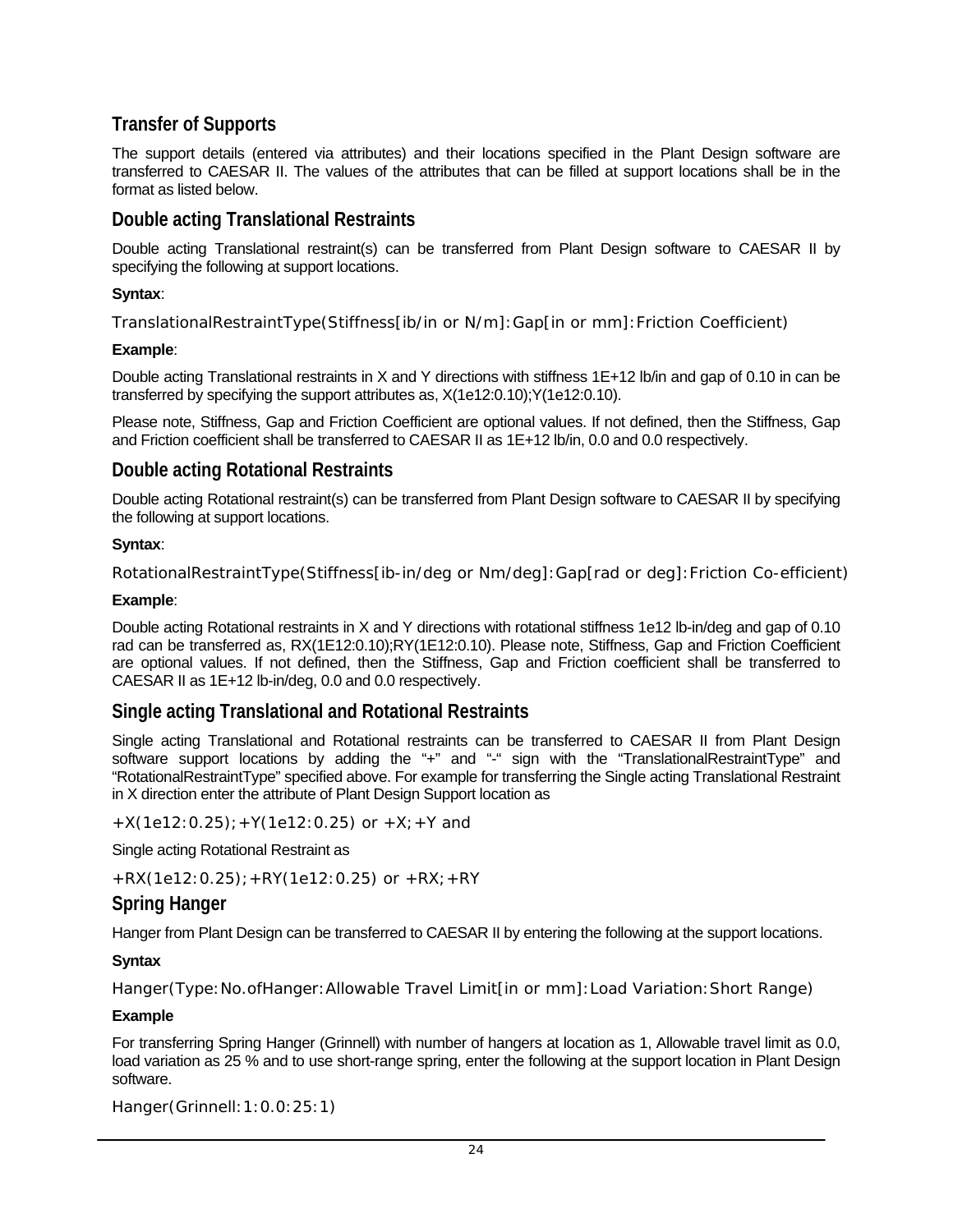## **Transfer of Supports**

The support details (entered via attributes) and their locations specified in the Plant Design software are transferred to CAESAR II. The values of the attributes that can be filled at support locations shall be in the format as listed below.

### **Double acting Translational Restraints**

Double acting Translational restraint(s) can be transferred from Plant Design software to CAESAR II by specifying the following at support locations.

### **Syntax**:

TranslationalRestraintType(Stiffness[ib/in or N/m]:Gap[in or mm]:Friction Coefficient)

### **Example**:

Double acting Translational restraints in X and Y directions with stiffness 1E+12 lb/in and gap of 0.10 in can be transferred by specifying the support attributes as, X(1e12:0.10);Y(1e12:0.10).

Please note, Stiffness, Gap and Friction Coefficient are optional values. If not defined, then the Stiffness, Gap and Friction coefficient shall be transferred to CAESAR II as 1E+12 lb/in, 0.0 and 0.0 respectively.

## **Double acting Rotational Restraints**

Double acting Rotational restraint(s) can be transferred from Plant Design software to CAESAR II by specifying the following at support locations.

#### **Syntax**:

RotationalRestraintType(Stiffness[ib-in/deg or Nm/deg]:Gap[rad or deg]:Friction Co-efficient)

#### **Example**:

Double acting Rotational restraints in X and Y directions with rotational stiffness 1e12 lb-in/deg and gap of 0.10 rad can be transferred as, RX(1E12:0.10);RY(1E12:0.10). Please note, Stiffness, Gap and Friction Coefficient are optional values. If not defined, then the Stiffness, Gap and Friction coefficient shall be transferred to CAESAR II as 1E+12 lb-in/deg, 0.0 and 0.0 respectively.

## **Single acting Translational and Rotational Restraints**

Single acting Translational and Rotational restraints can be transferred to CAESAR II from Plant Design software support locations by adding the "+" and "-" sign with the "TranslationalRestraintType" and "RotationalRestraintType" specified above. For example for transferring the Single acting Translational Restraint in X direction enter the attribute of Plant Design Support location as

 $+X(1e12:0.25)$ ;  $+Y(1e12:0.25)$  or  $+X$ ;  $+Y$  and

Single acting Rotational Restraint as

 $+RX(1e12:0.25)$ ;  $+RY(1e12:0.25)$  or  $+RX$ ;  $+RY$ 

### **Spring Hanger**

Hanger from Plant Design can be transferred to CAESAR II by entering the following at the support locations.

#### **Syntax**

Hanger(Type:No.ofHanger:Allowable Travel Limit[in or mm]:Load Variation:Short Range)

#### **Example**

For transferring Spring Hanger (Grinnell) with number of hangers at location as 1, Allowable travel limit as 0.0, load variation as 25 % and to use short-range spring, enter the following at the support location in Plant Design software.

Hanger(Grinnell:1:0.0:25:1)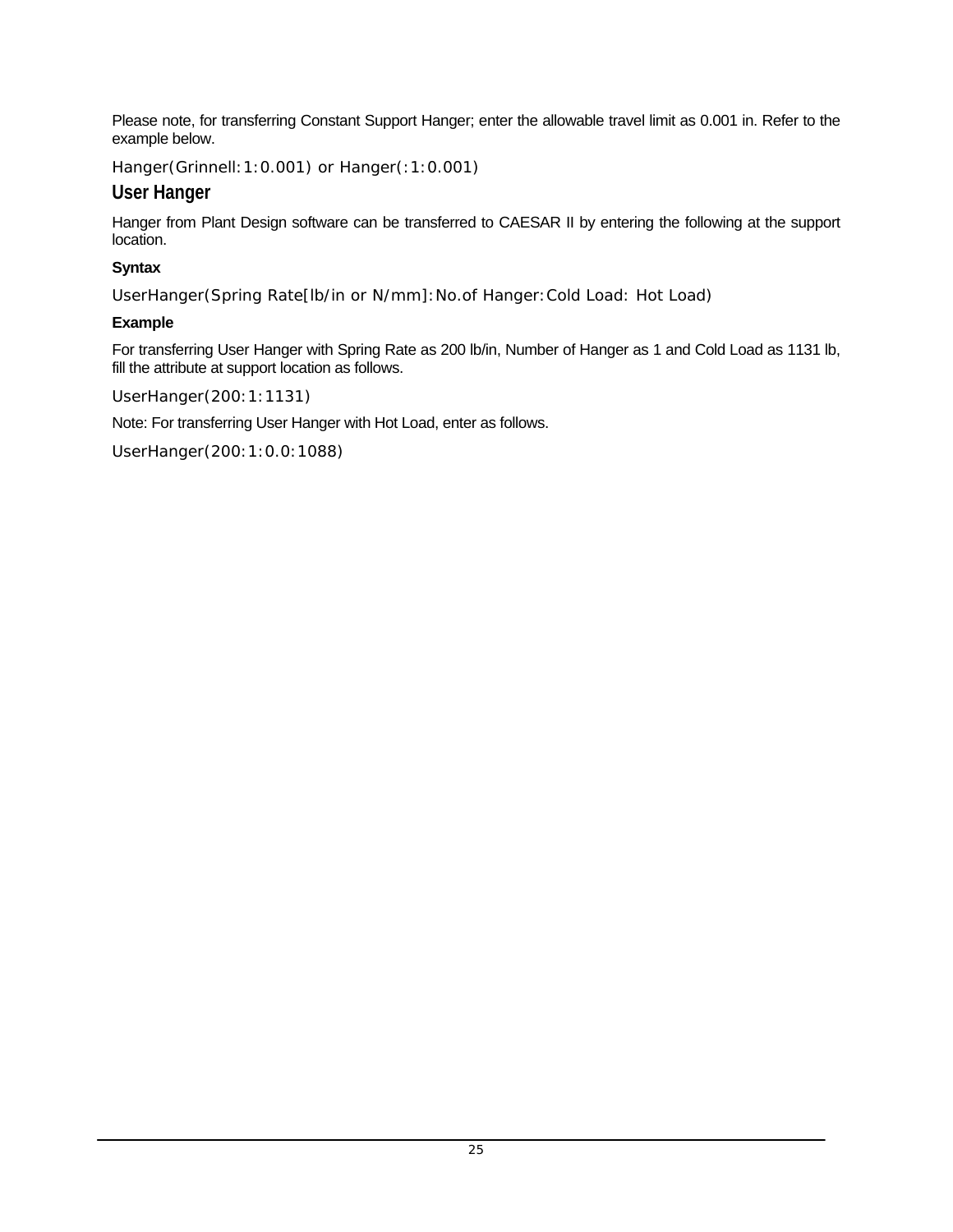Please note, for transferring Constant Support Hanger; enter the allowable travel limit as 0.001 in. Refer to the example below.

Hanger(Grinnell:1:0.001) or Hanger(:1:0.001)

### **User Hanger**

Hanger from Plant Design software can be transferred to CAESAR II by entering the following at the support location.

### **Syntax**

UserHanger(Spring Rate[lb/in or N/mm]:No.of Hanger:Cold Load: Hot Load)

### **Example**

For transferring User Hanger with Spring Rate as 200 lb/in, Number of Hanger as 1 and Cold Load as 1131 lb, fill the attribute at support location as follows.

UserHanger(200:1:1131)

Note: For transferring User Hanger with Hot Load, enter as follows.

UserHanger(200:1:0.0:1088)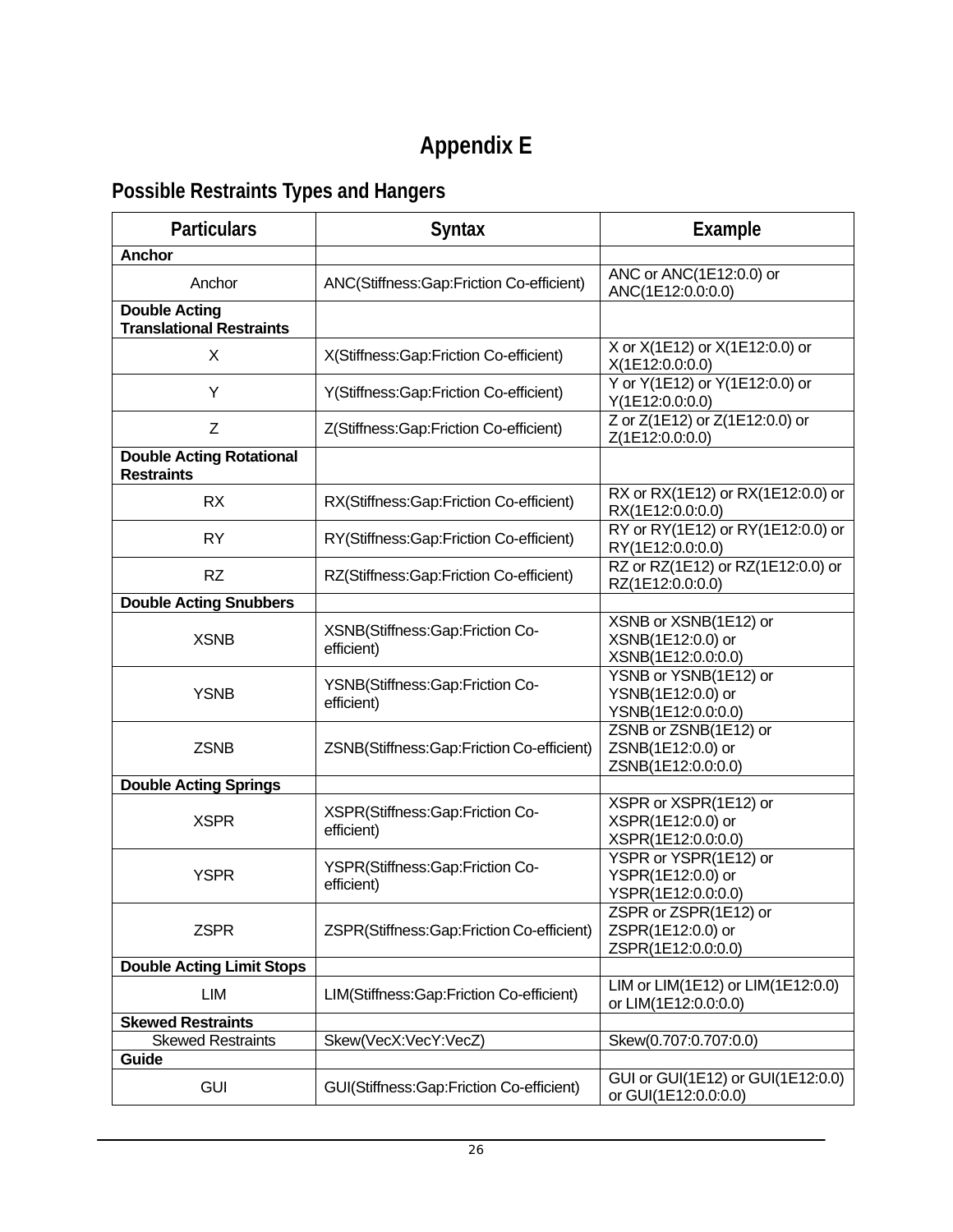# **Appendix E**

# <span id="page-25-0"></span>**Possible Restraints Types and Hangers**

| <b>Particulars</b>                                      | <b>Syntax</b>                                 | <b>Example</b>                                                   |
|---------------------------------------------------------|-----------------------------------------------|------------------------------------------------------------------|
| <b>Anchor</b>                                           |                                               |                                                                  |
| Anchor                                                  | ANC(Stiffness:Gap:Friction Co-efficient)      | ANC or ANC(1E12:0.0) or<br>ANC(1E12:0.0:0.0)                     |
| <b>Double Acting</b><br><b>Translational Restraints</b> |                                               |                                                                  |
| X                                                       | X(Stiffness:Gap:Friction Co-efficient)        | X or X(1E12) or X(1E12:0.0) or<br>X(1E12:0.0:0.0)                |
| Y                                                       | Y(Stiffness:Gap:Friction Co-efficient)        | Y or Y(1E12) or Y(1E12:0.0) or<br>Y(1E12:0.0:0.0)                |
| Z                                                       | Z(Stiffness:Gap:Friction Co-efficient)        | Z or Z(1E12) or Z(1E12:0.0) or<br>Z(1E12:0.0:0.0)                |
| <b>Double Acting Rotational</b><br><b>Restraints</b>    |                                               |                                                                  |
| <b>RX</b>                                               | RX(Stiffness:Gap:Friction Co-efficient)       | RX or RX(1E12) or RX(1E12:0.0) or<br>RX(1E12:0.0:0.0)            |
| <b>RY</b>                                               | RY(Stiffness:Gap:Friction Co-efficient)       | RY or RY(1E12) or RY(1E12:0.0) or<br>RY(1E12:0.0:0.0)            |
| <b>RZ</b>                                               | RZ(Stiffness:Gap:Friction Co-efficient)       | RZ or RZ(1E12) or RZ(1E12:0.0) or<br>RZ(1E12:0.0:0.0)            |
| <b>Double Acting Snubbers</b>                           |                                               |                                                                  |
| <b>XSNB</b>                                             | XSNB(Stiffness:Gap:Friction Co-<br>efficient) | XSNB or XSNB(1E12) or<br>XSNB(1E12:0.0) or<br>XSNB(1E12:0.0:0.0) |
| <b>YSNB</b>                                             | YSNB(Stiffness:Gap:Friction Co-<br>efficient) | YSNB or YSNB(1E12) or<br>YSNB(1E12:0.0) or<br>YSNB(1E12:0.0:0.0) |
| <b>ZSNB</b>                                             | ZSNB(Stiffness:Gap:Friction Co-efficient)     | ZSNB or ZSNB(1E12) or<br>ZSNB(1E12:0.0) or<br>ZSNB(1E12:0.0:0.0) |
| <b>Double Acting Springs</b>                            |                                               |                                                                  |
| <b>XSPR</b>                                             | XSPR(Stiffness:Gap:Friction Co-<br>efficient) | XSPR or XSPR(1E12) or<br>XSPR(1E12:0.0) or<br>XSPR(1E12:0.0:0.0) |
| <b>YSPR</b>                                             | YSPR(Stiffness:Gap:Friction Co-<br>efficient) | YSPR or YSPR(1E12) or<br>YSPR(1E12:0.0) or<br>YSPR(1E12:0.0:0.0) |
| <b>ZSPR</b>                                             | ZSPR(Stiffness:Gap:Friction Co-efficient)     | ZSPR or ZSPR(1E12) or<br>ZSPR(1E12:0.0) or<br>ZSPR(1E12:0.0:0.0) |
| <b>Double Acting Limit Stops</b>                        |                                               |                                                                  |
| LIM                                                     | LIM(Stiffness:Gap:Friction Co-efficient)      | LIM or LIM(1E12) or LIM(1E12:0.0)<br>or LIM(1E12:0.0:0.0)        |
| <b>Skewed Restraints</b>                                |                                               |                                                                  |
| <b>Skewed Restraints</b>                                | Skew(VecX:VecY:VecZ)                          | Skew(0.707:0.707:0.0)                                            |
| Guide                                                   |                                               |                                                                  |
| <b>GUI</b>                                              | GUI(Stiffness:Gap:Friction Co-efficient)      | GUI or GUI(1E12) or GUI(1E12:0.0)<br>or GUI(1E12:0.0:0.0)        |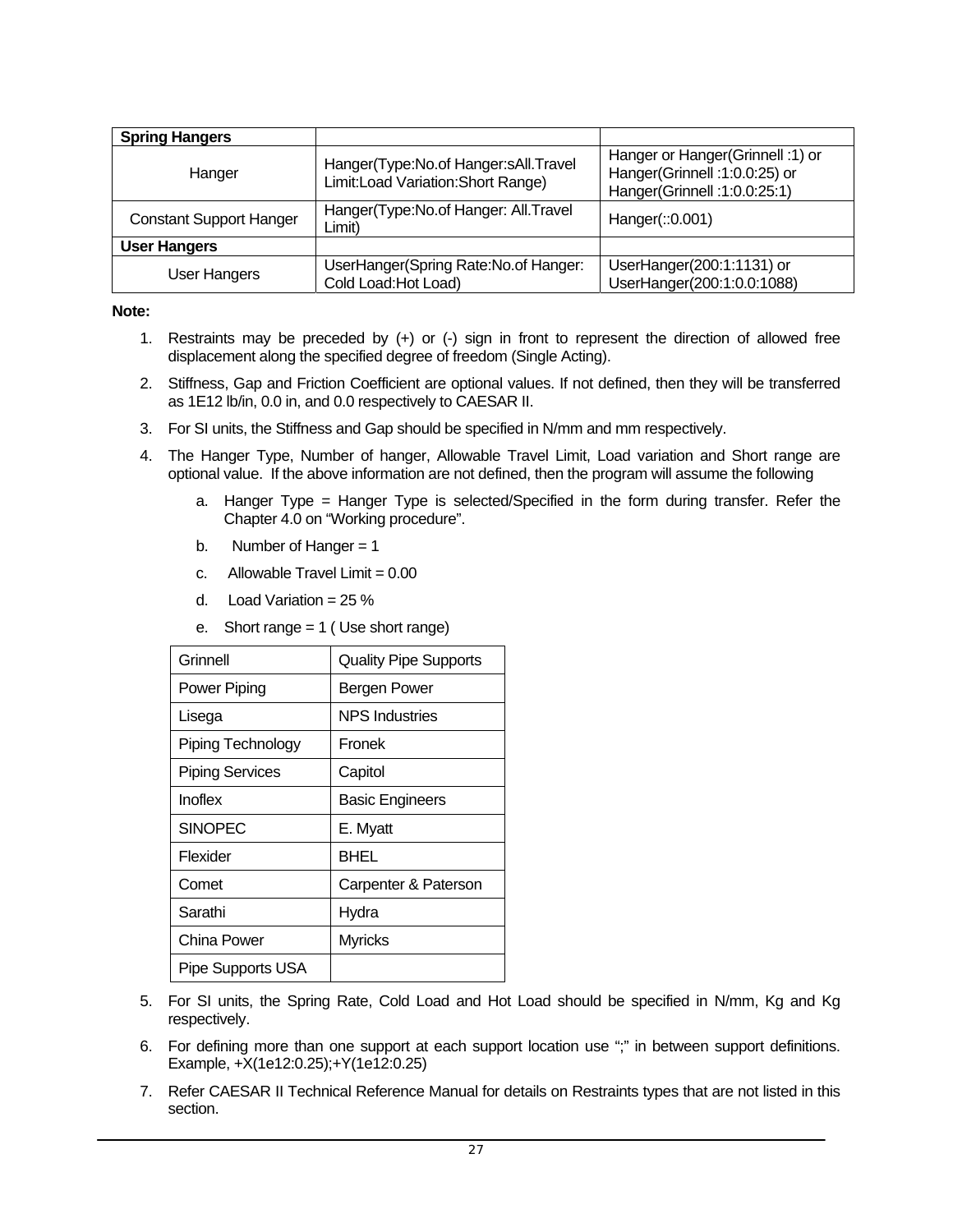| <b>Spring Hangers</b>          |                                                                             |                                                                                                   |
|--------------------------------|-----------------------------------------------------------------------------|---------------------------------------------------------------------------------------------------|
| Hanger                         | Hanger(Type:No.of Hanger:sAll.Travel<br>Limit: Load Variation: Short Range) | Hanger or Hanger(Grinnell: 1) or<br>Hanger(Grinnell: 1:0.0:25) or<br>Hanger(Grinnell: 1:0.0:25:1) |
| <b>Constant Support Hanger</b> | Hanger(Type:No.of Hanger: All.Travel<br>Limit)                              | Hanger(:: 0.001)                                                                                  |
| <b>User Hangers</b>            |                                                                             |                                                                                                   |
| User Hangers                   | UserHanger(Spring Rate:No.of Hanger:<br>Cold Load: Hot Load)                | UserHanger(200:1:1131) or<br>UserHanger(200:1:0.0:1088)                                           |

#### **Note:**

- 1. Restraints may be preceded by (+) or (-) sign in front to represent the direction of allowed free displacement along the specified degree of freedom (Single Acting).
- 2. Stiffness, Gap and Friction Coefficient are optional values. If not defined, then they will be transferred as 1E12 lb/in, 0.0 in, and 0.0 respectively to CAESAR II.
- 3. For SI units, the Stiffness and Gap should be specified in N/mm and mm respectively.
- 4. The Hanger Type, Number of hanger, Allowable Travel Limit, Load variation and Short range are optional value. If the above information are not defined, then the program will assume the following
	- a. Hanger Type = Hanger Type is selected/Specified in the form during transfer. Refer the Chapter 4.0 on "Working procedure".
	- b. Number of Hanger  $= 1$
	- c. Allowable Travel Limit  $= 0.00$
	- d. Load Variation =  $25\%$
	- e. Short range = 1 ( Use short range)

| Grinnell               | <b>Quality Pipe Supports</b> |
|------------------------|------------------------------|
| Power Piping           | Bergen Power                 |
| Lisega                 | NPS Industries               |
| Piping Technology      | Fronek                       |
| <b>Piping Services</b> | Capitol                      |
| Inoflex                | <b>Basic Engineers</b>       |
| <b>SINOPEC</b>         | E. Myatt                     |
| Flexider               | BHEL                         |
| Comet                  | Carpenter & Paterson         |
| Sarathi                | Hydra                        |
| China Power            | <b>Myricks</b>               |
| Pipe Supports USA      |                              |

- 5. For SI units, the Spring Rate, Cold Load and Hot Load should be specified in N/mm, Kg and Kg respectively.
- 6. For defining more than one support at each support location use ";" in between support definitions. Example, +X(1e12:0.25);+Y(1e12:0.25)
- 7. Refer CAESAR II Technical Reference Manual for details on Restraints types that are not listed in this section.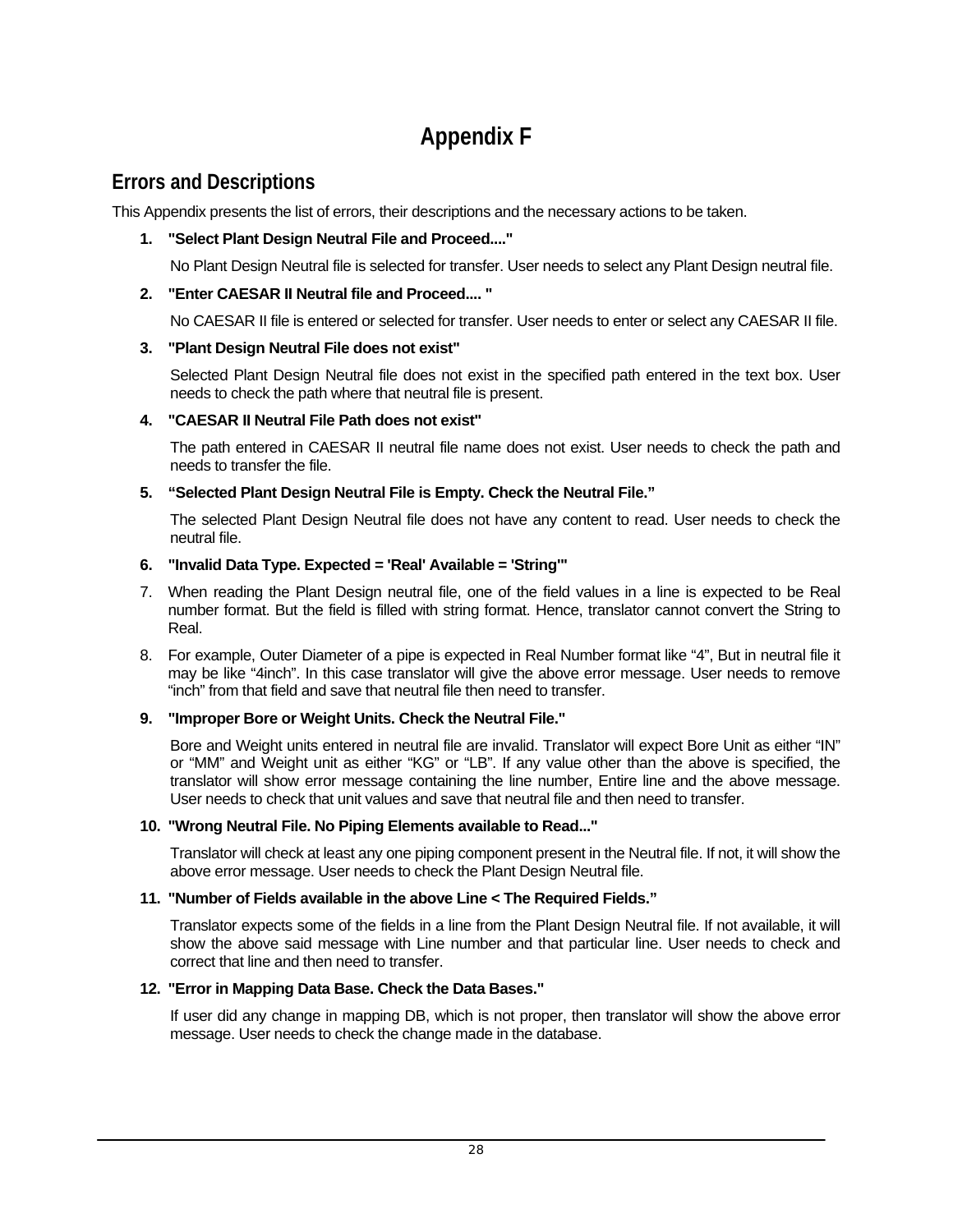# **Appendix F**

## <span id="page-27-0"></span>**Errors and Descriptions**

This Appendix presents the list of errors, their descriptions and the necessary actions to be taken.

### **1. "Select Plant Design Neutral File and Proceed...."**

No Plant Design Neutral file is selected for transfer. User needs to select any Plant Design neutral file.

### **2. "Enter CAESAR II Neutral file and Proceed.... "**

No CAESAR II file is entered or selected for transfer. User needs to enter or select any CAESAR II file.

### **3. "Plant Design Neutral File does not exist"**

Selected Plant Design Neutral file does not exist in the specified path entered in the text box. User needs to check the path where that neutral file is present.

### **4. "CAESAR II Neutral File Path does not exist"**

The path entered in CAESAR II neutral file name does not exist. User needs to check the path and needs to transfer the file.

### **5. "Selected Plant Design Neutral File is Empty. Check the Neutral File."**

The selected Plant Design Neutral file does not have any content to read. User needs to check the neutral file.

#### **6. "Invalid Data Type. Expected = 'Real' Available = 'String'"**

- 7. When reading the Plant Design neutral file, one of the field values in a line is expected to be Real number format. But the field is filled with string format. Hence, translator cannot convert the String to Real.
- 8. For example, Outer Diameter of a pipe is expected in Real Number format like "4", But in neutral file it may be like "4inch". In this case translator will give the above error message. User needs to remove "inch" from that field and save that neutral file then need to transfer.

#### **9. "Improper Bore or Weight Units. Check the Neutral File."**

Bore and Weight units entered in neutral file are invalid. Translator will expect Bore Unit as either "IN" or "MM" and Weight unit as either "KG" or "LB". If any value other than the above is specified, the translator will show error message containing the line number, Entire line and the above message. User needs to check that unit values and save that neutral file and then need to transfer.

#### **10. "Wrong Neutral File. No Piping Elements available to Read..."**

Translator will check at least any one piping component present in the Neutral file. If not, it will show the above error message. User needs to check the Plant Design Neutral file.

#### **11. "Number of Fields available in the above Line < The Required Fields."**

Translator expects some of the fields in a line from the Plant Design Neutral file. If not available, it will show the above said message with Line number and that particular line. User needs to check and correct that line and then need to transfer.

### **12. "Error in Mapping Data Base. Check the Data Bases."**

If user did any change in mapping DB, which is not proper, then translator will show the above error message. User needs to check the change made in the database.